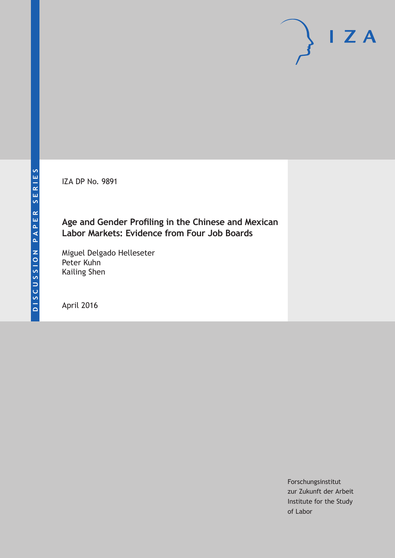IZA DP No. 9891

# **Age and Gender Profiling in the Chinese and Mexican Labor Markets: Evidence from Four Job Boards**

Miguel Delgado Helleseter Peter Kuhn Kailing Shen

April 2016

Forschungsinstitut zur Zukunft der Arbeit Institute for the Study of Labor

 $I Z A$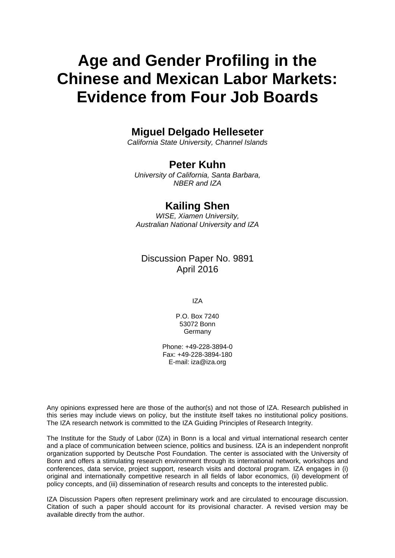# **Age and Gender Profiling in the Chinese and Mexican Labor Markets: Evidence from Four Job Boards**

# **Miguel Delgado Helleseter**

*California State University, Channel Islands* 

### **Peter Kuhn**

*University of California, Santa Barbara, NBER and IZA* 

# **Kailing Shen**

*WISE, Xiamen University, Australian National University and IZA*

# Discussion Paper No. 9891 April 2016

IZA

P.O. Box 7240 53072 Bonn Germany

Phone: +49-228-3894-0 Fax: +49-228-3894-180 E-mail: iza@iza.org

Any opinions expressed here are those of the author(s) and not those of IZA. Research published in this series may include views on policy, but the institute itself takes no institutional policy positions. The IZA research network is committed to the IZA Guiding Principles of Research Integrity.

The Institute for the Study of Labor (IZA) in Bonn is a local and virtual international research center and a place of communication between science, politics and business. IZA is an independent nonprofit organization supported by Deutsche Post Foundation. The center is associated with the University of Bonn and offers a stimulating research environment through its international network, workshops and conferences, data service, project support, research visits and doctoral program. IZA engages in (i) original and internationally competitive research in all fields of labor economics, (ii) development of policy concepts, and (iii) dissemination of research results and concepts to the interested public.

IZA Discussion Papers often represent preliminary work and are circulated to encourage discussion. Citation of such a paper should account for its provisional character. A revised version may be available directly from the author.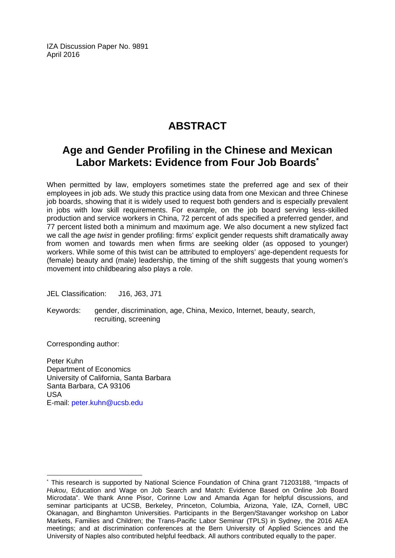IZA Discussion Paper No. 9891 April 2016

# **ABSTRACT**

# **Age and Gender Profiling in the Chinese and Mexican Labor Markets: Evidence from Four Job Boards\***

When permitted by law, employers sometimes state the preferred age and sex of their employees in job ads. We study this practice using data from one Mexican and three Chinese job boards, showing that it is widely used to request both genders and is especially prevalent in jobs with low skill requirements. For example, on the job board serving less-skilled production and service workers in China, 72 percent of ads specified a preferred gender, and 77 percent listed both a minimum and maximum age. We also document a new stylized fact we call the *age twist* in gender profiling: firms' explicit gender requests shift dramatically away from women and towards men when firms are seeking older (as opposed to younger) workers. While some of this twist can be attributed to employers' age-dependent requests for (female) beauty and (male) leadership, the timing of the shift suggests that young women's movement into childbearing also plays a role.

JEL Classification: J16, J63, J71

Keywords: gender, discrimination, age, China, Mexico, Internet, beauty, search, recruiting, screening

Corresponding author:

 $\overline{a}$ 

Peter Kuhn Department of Economics University of California, Santa Barbara Santa Barbara, CA 93106 USA E-mail: peter.kuhn@ucsb.edu

<sup>\*</sup> This research is supported by National Science Foundation of China grant 71203188, "Impacts of *Hukou*, Education and Wage on Job Search and Match: Evidence Based on Online Job Board Microdata". We thank Anne Pisor, Corinne Low and Amanda Agan for helpful discussions, and seminar participants at UCSB, Berkeley, Princeton, Columbia, Arizona, Yale, IZA, Cornell, UBC Okanagan, and Binghamton Universities. Participants in the Bergen/Stavanger workshop on Labor Markets, Families and Children; the Trans-Pacific Labor Seminar (TPLS) in Sydney, the 2016 AEA meetings; and at discrimination conferences at the Bern University of Applied Sciences and the University of Naples also contributed helpful feedback. All authors contributed equally to the paper.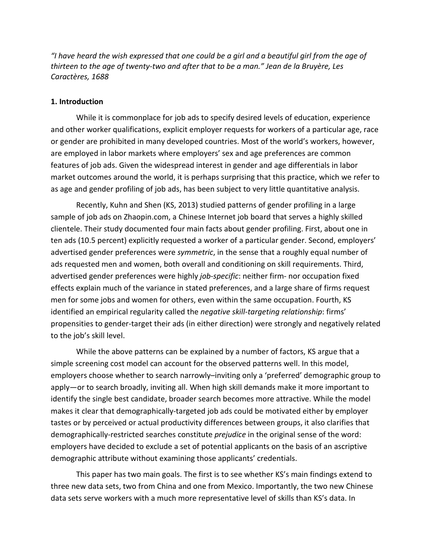*"I have heard the wish expressed that one could be a girl and a beautiful girl from the age of thirteen to the age of twenty-two and after that to be a man." Jean de la Bruyère, Les Caractères, 1688*

#### **1. Introduction**

While it is commonplace for job ads to specify desired levels of education, experience and other worker qualifications, explicit employer requests for workers of a particular age, race or gender are prohibited in many developed countries. Most of the world's workers, however, are employed in labor markets where employers' sex and age preferences are common features of job ads. Given the widespread interest in gender and age differentials in labor market outcomes around the world, it is perhaps surprising that this practice, which we refer to as age and gender profiling of job ads, has been subject to very little quantitative analysis.

Recently, Kuhn and Shen (KS, 2013) studied patterns of gender profiling in a large sample of job ads on Zhaopin.com, a Chinese Internet job board that serves a highly skilled clientele. Their study documented four main facts about gender profiling. First, about one in ten ads (10.5 percent) explicitly requested a worker of a particular gender. Second, employers' advertised gender preferences were *symmetric*, in the sense that a roughly equal number of ads requested men and women, both overall and conditioning on skill requirements. Third, advertised gender preferences were highly *job-specific*: neither firm- nor occupation fixed effects explain much of the variance in stated preferences, and a large share of firms request men for some jobs and women for others, even within the same occupation. Fourth, KS identified an empirical regularity called the *negative skill-targeting relationship*: firms' propensities to gender-target their ads (in either direction) were strongly and negatively related to the job's skill level.

While the above patterns can be explained by a number of factors, KS argue that a simple screening cost model can account for the observed patterns well. In this model, employers choose whether to search narrowly–inviting only a 'preferred' demographic group to apply—or to search broadly, inviting all. When high skill demands make it more important to identify the single best candidate, broader search becomes more attractive. While the model makes it clear that demographically-targeted job ads could be motivated either by employer tastes or by perceived or actual productivity differences between groups, it also clarifies that demographically-restricted searches constitute *prejudice* in the original sense of the word: employers have decided to exclude a set of potential applicants on the basis of an ascriptive demographic attribute without examining those applicants' credentials.

This paper has two main goals. The first is to see whether KS's main findings extend to three new data sets, two from China and one from Mexico. Importantly, the two new Chinese data sets serve workers with a much more representative level of skills than KS's data. In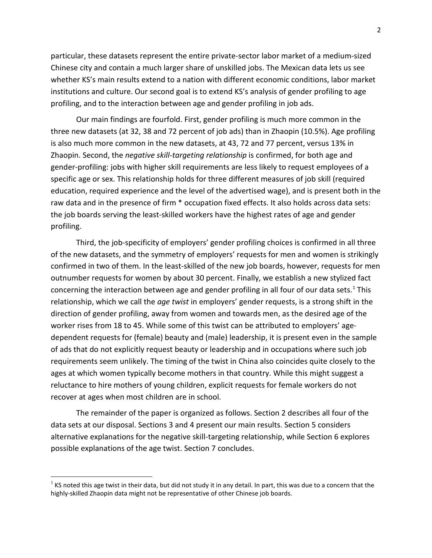particular, these datasets represent the entire private-sector labor market of a medium-sized Chinese city and contain a much larger share of unskilled jobs. The Mexican data lets us see whether KS's main results extend to a nation with different economic conditions, labor market institutions and culture. Our second goal is to extend KS's analysis of gender profiling to age profiling, and to the interaction between age and gender profiling in job ads.

Our main findings are fourfold. First, gender profiling is much more common in the three new datasets (at 32, 38 and 72 percent of job ads) than in Zhaopin (10.5%). Age profiling is also much more common in the new datasets, at 43, 72 and 77 percent, versus 13% in Zhaopin. Second, the *negative skill-targeting relationship* is confirmed, for both age and gender-profiling: jobs with higher skill requirements are less likely to request employees of a specific age or sex. This relationship holds for three different measures of job skill (required education, required experience and the level of the advertised wage), and is present both in the raw data and in the presence of firm \* occupation fixed effects. It also holds across data sets: the job boards serving the least-skilled workers have the highest rates of age and gender profiling.

Third, the job-specificity of employers' gender profiling choices is confirmed in all three of the new datasets, and the symmetry of employers' requests for men and women is strikingly confirmed in two of them. In the least-skilled of the new job boards, however, requests for men outnumber requests for women by about 30 percent. Finally, we establish a new stylized fact concerning the interaction between age and gender profiling in all four of our data sets.<sup>[1](#page-4-0)</sup> This relationship, which we call the *age twist* in employers' gender requests, is a strong shift in the direction of gender profiling, away from women and towards men, as the desired age of the worker rises from 18 to 45. While some of this twist can be attributed to employers' agedependent requests for (female) beauty and (male) leadership, it is present even in the sample of ads that do not explicitly request beauty or leadership and in occupations where such job requirements seem unlikely. The timing of the twist in China also coincides quite closely to the ages at which women typically become mothers in that country. While this might suggest a reluctance to hire mothers of young children, explicit requests for female workers do not recover at ages when most children are in school.

The remainder of the paper is organized as follows. Section 2 describes all four of the data sets at our disposal. Sections 3 and 4 present our main results. Section 5 considers alternative explanations for the negative skill-targeting relationship, while Section 6 explores possible explanations of the age twist. Section 7 concludes.

 $\overline{\phantom{a}}$ 

<span id="page-4-0"></span> $1$  KS noted this age twist in their data, but did not study it in any detail. In part, this was due to a concern that the highly-skilled Zhaopin data might not be representative of other Chinese job boards.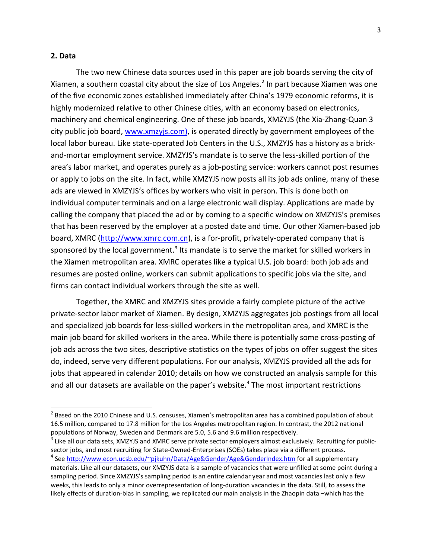#### **2. Data**

 $\overline{a}$ 

The two new Chinese data sources used in this paper are job boards serving the city of Xiamen, a southern coastal city about the size of Los Angeles.<sup>[2](#page-5-0)</sup> In part because Xiamen was one of the five economic zones established immediately after China's 1979 economic reforms, it is highly modernized relative to other Chinese cities, with an economy based on electronics, machinery and chemical engineering. One of these job boards, XMZYJS (the Xia-Zhang-Quan 3 city public job board, [www.xmzyjs.com\)](http://www.xmzyjs.com/), is operated directly by government employees of the local labor bureau. Like state-operated Job Centers in the U.S., XMZYJS has a history as a brickand-mortar employment service. XMZYJS's mandate is to serve the less-skilled portion of the area's labor market, and operates purely as a job-posting service: workers cannot post resumes or apply to jobs on the site. In fact, while XMZYJS now posts all its job ads online, many of these ads are viewed in XMZYJS's offices by workers who visit in person. This is done both on individual computer terminals and on a large electronic wall display. Applications are made by calling the company that placed the ad or by coming to a specific window on XMZYJS's premises that has been reserved by the employer at a posted date and time. Our other Xiamen-based job board, XMRC [\(http://www.xmrc.com.cn\)](http://www.xmrc.com.cn/), is a for-profit, privately-operated company that is sponsored by the local government.<sup>[3](#page-5-1)</sup> Its mandate is to serve the market for skilled workers in the Xiamen metropolitan area. XMRC operates like a typical U.S. job board: both job ads and resumes are posted online, workers can submit applications to specific jobs via the site, and firms can contact individual workers through the site as well.

Together, the XMRC and XMZYJS sites provide a fairly complete picture of the active private-sector labor market of Xiamen. By design, XMZYJS aggregates job postings from all local and specialized job boards for less-skilled workers in the metropolitan area, and XMRC is the main job board for skilled workers in the area. While there is potentially some cross-posting of job ads across the two sites, descriptive statistics on the types of jobs on offer suggest the sites do, indeed, serve very different populations. For our analysis, XMZYJS provided all the ads for jobs that appeared in calendar 2010; details on how we constructed an analysis sample for this and all our datasets are available on the paper's website. [4](#page-5-2) The most important restrictions

<span id="page-5-0"></span> $2$  Based on the 2010 Chinese and U.S. censuses, Xiamen's metropolitan area has a combined population of about 16.5 million, compared to 17.8 million for the Los Angeles metropolitan region. In contrast, the 2012 national populations of Norway, Sweden and Denmark are 5.0, 5.6 and 9.6 million respectively.

<span id="page-5-2"></span><span id="page-5-1"></span> $3$  Like all our data sets, XMZYJS and XMRC serve private sector employers almost exclusively. Recruiting for publicsector jobs, and most recruiting for State-Owned-Enterprises (SOEs) takes place via a different process. <sup>4</sup> Se[e http://www.econ.ucsb.edu/~pjkuhn/Data/Age&Gender/Age&GenderIndex.htm](http://www.econ.ucsb.edu/~pjkuhn/Data/Age&Gender/Age&GenderIndex.htm) for all supplementary materials. Like all our datasets, our XMZYJS data is a sample of vacancies that were unfilled at some point during a sampling period. Since XMZYJS's sampling period is an entire calendar year and most vacancies last only a few weeks, this leads to only a minor overrepresentation of long-duration vacancies in the data. Still, to assess the likely effects of duration-bias in sampling, we replicated our main analysis in the Zhaopin data –which has the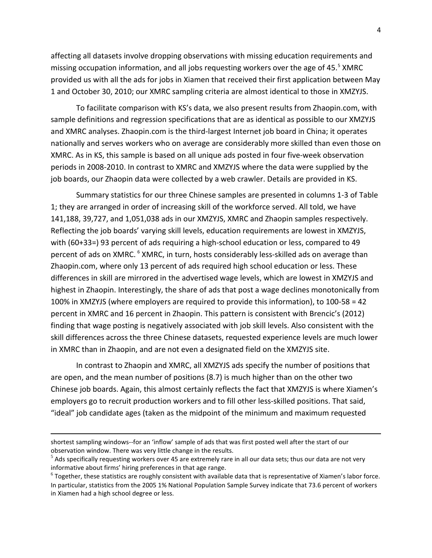affecting all datasets involve dropping observations with missing education requirements and missing occupation information, and all jobs requesting workers over the age of 4[5](#page-6-0). $5$  XMRC provided us with all the ads for jobs in Xiamen that received their first application between May 1 and October 30, 2010; our XMRC sampling criteria are almost identical to those in XMZYJS.

To facilitate comparison with KS's data, we also present results from Zhaopin.com, with sample definitions and regression specifications that are as identical as possible to our XMZYJS and XMRC analyses. Zhaopin.com is the third-largest Internet job board in China; it operates nationally and serves workers who on average are considerably more skilled than even those on XMRC. As in KS, this sample is based on all unique ads posted in four five-week observation periods in 2008-2010. In contrast to XMRC and XMZYJS where the data were supplied by the job boards, our Zhaopin data were collected by a web crawler. Details are provided in KS.

Summary statistics for our three Chinese samples are presented in columns 1-3 of Table 1; they are arranged in order of increasing skill of the workforce served. All told, we have 141,188, 39,727, and 1,051,038 ads in our XMZYJS, XMRC and Zhaopin samples respectively. Reflecting the job boards' varying skill levels, education requirements are lowest in XMZYJS, with (60+33=) 93 percent of ads requiring a high-school education or less, compared to 49 percent of ads on XMRC. <sup>[6](#page-6-1)</sup> XMRC, in turn, hosts considerably less-skilled ads on average than Zhaopin.com, where only 13 percent of ads required high school education or less. These differences in skill are mirrored in the advertised wage levels, which are lowest in XMZYJS and highest in Zhaopin. Interestingly, the share of ads that post a wage declines monotonically from 100% in XMZYJS (where employers are required to provide this information), to 100-58 = 42 percent in XMRC and 16 percent in Zhaopin. This pattern is consistent with Brencic's (2012) finding that wage posting is negatively associated with job skill levels. Also consistent with the skill differences across the three Chinese datasets, requested experience levels are much lower in XMRC than in Zhaopin, and are not even a designated field on the XMZYJS site.

In contrast to Zhaopin and XMRC, all XMZYJS ads specify the number of positions that are open, and the mean number of positions (8.7) is much higher than on the other two Chinese job boards. Again, this almost certainly reflects the fact that XMZYJS is where Xiamen's employers go to recruit production workers and to fill other less-skilled positions. That said, "ideal" job candidate ages (taken as the midpoint of the minimum and maximum requested

 $\overline{a}$ 

shortest sampling windows--for an 'inflow' sample of ads that was first posted well after the start of our observation window. There was very little change in the results.

<span id="page-6-0"></span> $^{\circ}$  Ads specifically requesting workers over 45 are extremely rare in all our data sets; thus our data are not very informative about firms' hiring preferences in that age range.

<span id="page-6-1"></span> $6$  Together, these statistics are roughly consistent with available data that is representative of Xiamen's labor force. In particular, statistics from the 2005 1% National Population Sample Survey indicate that 73.6 percent of workers in Xiamen had a high school degree or less.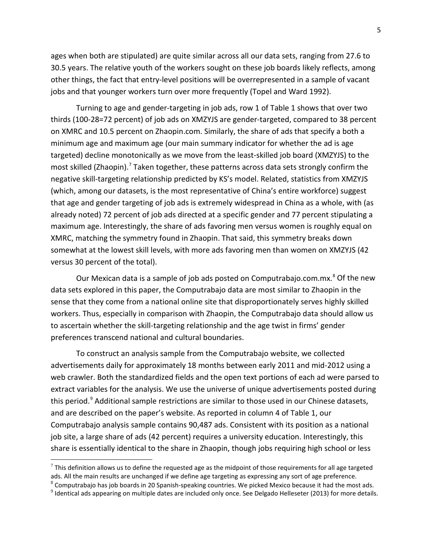ages when both are stipulated) are quite similar across all our data sets, ranging from 27.6 to 30.5 years. The relative youth of the workers sought on these job boards likely reflects, among other things, the fact that entry-level positions will be overrepresented in a sample of vacant jobs and that younger workers turn over more frequently (Topel and Ward 1992).

Turning to age and gender-targeting in job ads, row 1 of Table 1 shows that over two thirds (100-28=72 percent) of job ads on XMZYJS are gender-targeted, compared to 38 percent on XMRC and 10.5 percent on Zhaopin.com. Similarly, the share of ads that specify a both a minimum age and maximum age (our main summary indicator for whether the ad is age targeted) decline monotonically as we move from the least-skilled job board (XMZYJS) to the most skilled (Zhaopin).<sup>[7](#page-7-0)</sup> Taken together, these patterns across data sets strongly confirm the negative skill-targeting relationship predicted by KS's model. Related, statistics from XMZYJS (which, among our datasets, is the most representative of China's entire workforce) suggest that age and gender targeting of job ads is extremely widespread in China as a whole, with (as already noted) 72 percent of job ads directed at a specific gender and 77 percent stipulating a maximum age. Interestingly, the share of ads favoring men versus women is roughly equal on XMRC, matching the symmetry found in Zhaopin. That said, this symmetry breaks down somewhat at the lowest skill levels, with more ads favoring men than women on XMZYJS (42 versus 30 percent of the total).

Our Mexican data is a sample of job ads posted on Computrabajo.com.mx. [8](#page-7-1) Of the new data sets explored in this paper, the Computrabajo data are most similar to Zhaopin in the sense that they come from a national online site that disproportionately serves highly skilled workers. Thus, especially in comparison with Zhaopin, the Computrabajo data should allow us to ascertain whether the skill-targeting relationship and the age twist in firms' gender preferences transcend national and cultural boundaries.

To construct an analysis sample from the Computrabajo website, we collected advertisements daily for approximately 18 months between early 2011 and mid-2012 using a web crawler. Both the standardized fields and the open text portions of each ad were parsed to extract variables for the analysis. We use the universe of unique advertisements posted during this period.<sup>[9](#page-7-2)</sup> Additional sample restrictions are similar to those used in our Chinese datasets, and are described on the paper's website. As reported in column 4 of Table 1, our Computrabajo analysis sample contains 90,487 ads. Consistent with its position as a national job site, a large share of ads (42 percent) requires a university education. Interestingly, this share is essentially identical to the share in Zhaopin, though jobs requiring high school or less

l

<span id="page-7-0"></span> $^7$  This definition allows us to define the requested age as the midpoint of those requirements for all age targeted ads. All the main results are unchanged if we define age targeting as expressing any sort of age preference.  $8$  Computrabajo has job boards in 20 Spanish-speaking countries. We picked Mexico because it had the most ads.

<span id="page-7-2"></span><span id="page-7-1"></span> $9$  Identical ads appearing on multiple dates are included only once. See Delgado Helleseter (2013) for more details.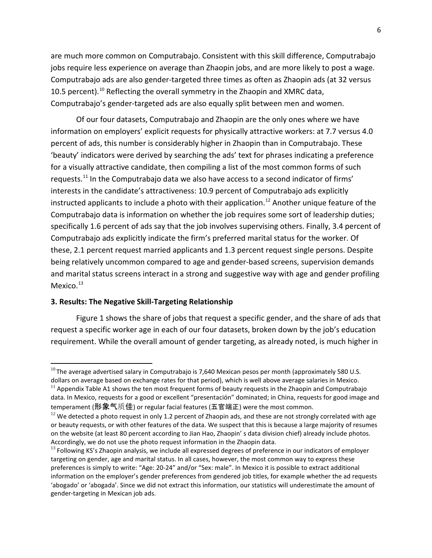are much more common on Computrabajo. Consistent with this skill difference, Computrabajo jobs require less experience on average than Zhaopin jobs, and are more likely to post a wage. Computrabajo ads are also gender-targeted three times as often as Zhaopin ads (at 32 versus [10](#page-8-0).5 percent).<sup>10</sup> Reflecting the overall symmetry in the Zhaopin and XMRC data, Computrabajo's gender-targeted ads are also equally split between men and women.

Of our four datasets, Computrabajo and Zhaopin are the only ones where we have information on employers' explicit requests for physically attractive workers: at 7.7 versus 4.0 percent of ads, this number is considerably higher in Zhaopin than in Computrabajo. These 'beauty' indicators were derived by searching the ads' text for phrases indicating a preference for a visually attractive candidate, then compiling a list of the most common forms of such requests.<sup>[11](#page-8-1)</sup> In the Computrabajo data we also have access to a second indicator of firms' interests in the candidate's attractiveness: 10.9 percent of Computrabajo ads explicitly instructed applicants to include a photo with their application.<sup>[12](#page-8-2)</sup> Another unique feature of the Computrabajo data is information on whether the job requires some sort of leadership duties; specifically 1.6 percent of ads say that the job involves supervising others. Finally, 3.4 percent of Computrabajo ads explicitly indicate the firm's preferred marital status for the worker. Of these, 2.1 percent request married applicants and 1.3 percent request single persons. Despite being relatively uncommon compared to age and gender-based screens, supervision demands and marital status screens interact in a strong and suggestive way with age and gender profiling Mexico. $13$ 

#### **3. Results: The Negative Skill-Targeting Relationship**

 $\overline{a}$ 

Figure 1 shows the share of jobs that request a specific gender, and the share of ads that request a specific worker age in each of our four datasets, broken down by the job's education requirement. While the overall amount of gender targeting, as already noted, is much higher in

<span id="page-8-0"></span> $^{10}$  The average advertised salary in Computrabajo is 7,640 Mexican pesos per month (approximately 580 U.S. dollars on average based on exchange rates for that period), which is well above average salaries in Mexico.

<span id="page-8-1"></span> $11$  Appendix Table A1 shows the ten most frequent forms of beauty requests in the Zhaopin and Computrabajo data. In Mexico, requests for a good or excellent "presentación" dominated; in China, requests for good image and temperament (形象气质佳) or regular facial features (五官端正) were the most common.

<span id="page-8-2"></span> $12$  We detected a photo request in only 1.2 percent of Zhaopin ads, and these are not strongly correlated with age or beauty requests, or with other features of the data. We suspect that this is because a large majority of resumes on the website (at least 80 percent according to Jian Hao, Zhaopin' s data division chief) already include photos. Accordingly, we do not use the photo request information in the Zhaopin data.

<span id="page-8-3"></span><sup>&</sup>lt;sup>13</sup> Following KS's Zhaopin analysis, we include all expressed degrees of preference in our indicators of employer targeting on gender, age and marital status. In all cases, however, the most common way to express these preferences is simply to write: "Age: 20-24" and/or "Sex: male". In Mexico it is possible to extract additional information on the employer's gender preferences from gendered job titles, for example whether the ad requests 'abogado' or 'abogada'. Since we did not extract this information, our statistics will underestimate the amount of gender-targeting in Mexican job ads.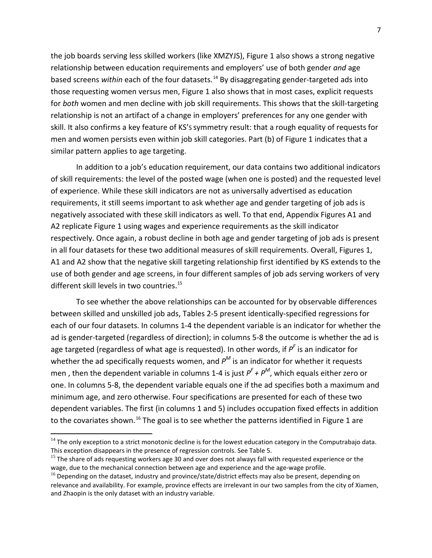the job boards serving less skilled workers (like XMZYJS), Figure 1 also shows a strong negative relationship between education requirements and employers' use of both gender *and* age based screens *within* each of the four datasets.<sup>[14](#page-9-0)</sup> By disaggregating gender-targeted ads into those requesting women versus men, Figure 1 also shows that in most cases, explicit requests for *both* women and men decline with job skill requirements. This shows that the skill-targeting relationship is not an artifact of a change in employers' preferences for any one gender with skill. It also confirms a key feature of KS'S symmetry result: that a rough equality of requests for men and women persists even within job skill categories. Part (b) of Figure 1 indicates that a similar pattern applies to age targeting.

In addition to a job's education requirement, our data contains two additional indicators of skill requirements: the level of the posted wage (when one is posted) and the requested level of experience. While these skill indicators are not as universally advertised as education requirements, it still seems important to ask whether age and gender targeting of job ads is negatively associated with these skill indicators as well. To that end, Appendix Figures A1 and A2 replicate Figure 1 using wages and experience requirements as the skill indicator respectively. Once again, a robust decline in both age and gender targeting of job ads is present in all four datasets for these two additional measures of skill requirements. Overall, Figures 1, A1 and A2 show that the negative skill targeting relationship first identified by KS extends to the use of both gender and age screens, in four different samples of job ads serving workers of very different skill levels in two countries.<sup>[15](#page-9-1)</sup>

To see whether the above relationships can be accounted for by observable differences between skilled and unskilled job ads, Tables 2-5 present identically-specified regressions for each of our four datasets. In columns 1-4 the dependent variable is an indicator for whether the ad is gender-targeted (regardless of direction); in columns 5-8 the outcome is whether the ad is age targeted (regardless of what age is requested). In other words, if *PF* is an indicator for whether the ad specifically requests women, and *P<sup>M</sup>* is an indicator for whether it requests men , then the dependent variable in columns 1-4 is just *P<sup>F</sup> + P<sup>M</sup>*, which equals either zero or one. In columns 5-8, the dependent variable equals one if the ad specifies both a maximum and minimum age, and zero otherwise. Four specifications are presented for each of these two dependent variables. The first (in columns 1 and 5) includes occupation fixed effects in addition to the covariates shown.<sup>16</sup> The goal is to see whether the patterns identified in Figure 1 are

 $\overline{a}$ 

<span id="page-9-0"></span> $14$  The only exception to a strict monotonic decline is for the lowest education category in the Computrabajo data. This exception disappears in the presence of regression controls. See Table 5.

<span id="page-9-1"></span><sup>&</sup>lt;sup>15</sup> The share of ads requesting workers age 30 and over does not always fall with requested experience or the wage, due to the mechanical connection between age and experience and the age-wage profile.

<span id="page-9-2"></span> $16$  Depending on the dataset, industry and province/state/district effects may also be present, depending on relevance and availability. For example, province effects are irrelevant in our two samples from the city of Xiamen, and Zhaopin is the only dataset with an industry variable.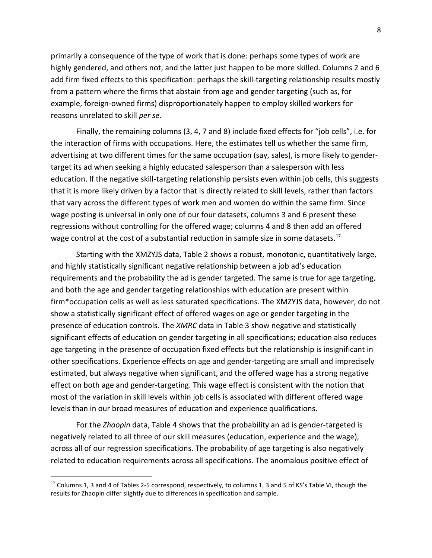primarily a consequence of the type of work that is done: perhaps some types of work are highly gendered, and others not, and the latter just happen to be more skilled. Columns 2 and 6 add firm fixed effects to this specification: perhaps the skill-targeting relationship results mostly from a pattern where the firms that abstain from age and gender targeting (such as, for example, foreign-owned firms) disproportionately happen to employ skilled workers for reasons unrelated to skill *per se*.

Finally, the remaining columns (3, 4, 7 and 8) include fixed effects for "job cells", i.e. for the interaction of firms with occupations. Here, the estimates tell us whether the same firm, advertising at two different times for the same occupation (say, sales), is more likely to gendertarget its ad when seeking a highly educated salesperson than a salesperson with less education. If the negative skill-targeting relationship persists even within job cells, this suggests that it is more likely driven by a factor that is directly related to skill levels, rather than factors that vary across the different types of work men and women do within the same firm. Since wage posting is universal in only one of our four datasets, columns 3 and 6 present these regressions without controlling for the offered wage; columns 4 and 8 then add an offered wage control at the cost of a substantial reduction in sample size in some datasets.<sup>[17](#page-10-0)</sup>

Starting with the XMZYJS data, Table 2 shows a robust, monotonic, quantitatively large, and highly statistically significant negative relationship between a job ad's education requirements and the probability the ad is gender targeted. The same is true for age targeting, and both the age and gender targeting relationships with education are present within firm\*occupation cells as well as less saturated specifications. The XMZYJS data, however, do not show a statistically significant effect of offered wages on age or gender targeting in the presence of education controls. The *XMRC* data in Table 3 show negative and statistically significant effects of education on gender targeting in all specifications; education also reduces age targeting in the presence of occupation fixed effects but the relationship is insignificant in other specifications. Experience effects on age and gender-targeting are small and imprecisely estimated, but always negative when significant, and the offered wage has a strong negative effect on both age and gender-targeting. This wage effect is consistent with the notion that most of the variation in skill levels within job cells is associated with different offered wage levels than in our broad measures of education and experience qualifications.

For the *Zhaopin* data, Table 4 shows that the probability an ad is gender-targeted is negatively related to all three of our skill measures (education, experience and the wage), across all of our regression specifications. The probability of age targeting is also negatively related to education requirements across all specifications. The anomalous positive effect of

 $\overline{\phantom{a}}$ 

<span id="page-10-0"></span> $17$  Columns 1, 3 and 4 of Tables 2-5 correspond, respectively, to columns 1, 3 and 5 of KS's Table VI, though the results for Zhaopin differ slightly due to differences in specification and sample.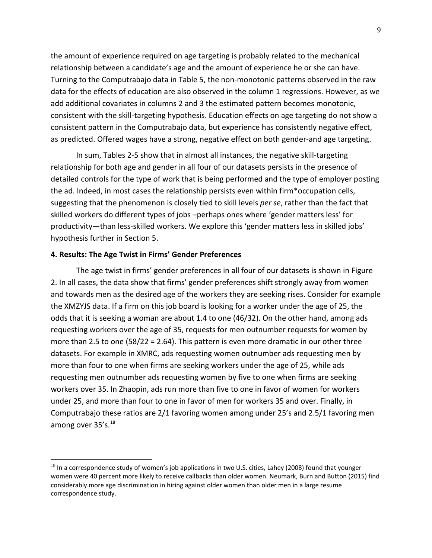the amount of experience required on age targeting is probably related to the mechanical relationship between a candidate's age and the amount of experience he or she can have. Turning to the Computrabajo data in Table 5, the non-monotonic patterns observed in the raw data for the effects of education are also observed in the column 1 regressions. However, as we add additional covariates in columns 2 and 3 the estimated pattern becomes monotonic, consistent with the skill-targeting hypothesis. Education effects on age targeting do not show a consistent pattern in the Computrabajo data, but experience has consistently negative effect, as predicted. Offered wages have a strong, negative effect on both gender-and age targeting.

In sum, Tables 2-5 show that in almost all instances, the negative skill-targeting relationship for both age and gender in all four of our datasets persists in the presence of detailed controls for the type of work that is being performed and the type of employer posting the ad. Indeed, in most cases the relationship persists even within firm\*occupation cells, suggesting that the phenomenon is closely tied to skill levels *per se*, rather than the fact that skilled workers do different types of jobs –perhaps ones where 'gender matters less' for productivity—than less-skilled workers. We explore this 'gender matters less in skilled jobs' hypothesis further in Section 5.

#### **4. Results: The Age Twist in Firms' Gender Preferences**

l

The age twist in firms' gender preferences in all four of our datasets is shown in Figure 2. In all cases, the data show that firms' gender preferences shift strongly away from women and towards men as the desired age of the workers they are seeking rises. Consider for example the XMZYJS data. If a firm on this job board is looking for a worker under the age of 25, the odds that it is seeking a woman are about 1.4 to one (46/32). On the other hand, among ads requesting workers over the age of 35, requests for men outnumber requests for women by more than 2.5 to one (58/22 = 2.64). This pattern is even more dramatic in our other three datasets. For example in XMRC, ads requesting women outnumber ads requesting men by more than four to one when firms are seeking workers under the age of 25, while ads requesting men outnumber ads requesting women by five to one when firms are seeking workers over 35. In Zhaopin, ads run more than five to one in favor of women for workers under 25, and more than four to one in favor of men for workers 35 and over. Finally, in Computrabajo these ratios are 2/1 favoring women among under 25's and 2.5/1 favoring men among over  $35's.^{18}$  $35's.^{18}$  $35's.^{18}$ 

<span id="page-11-0"></span><sup>&</sup>lt;sup>18</sup> In a correspondence study of women's job applications in two U.S. cities, Lahey (2008) found that younger women were 40 percent more likely to receive callbacks than older women. Neumark, Burn and Button (2015) find considerably more age discrimination in hiring against older women than older men in a large resume correspondence study.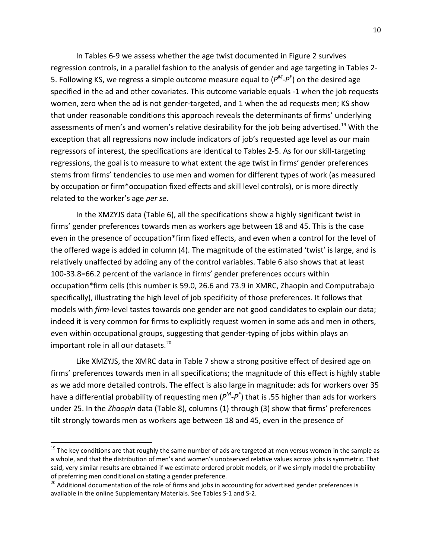In Tables 6-9 we assess whether the age twist documented in Figure 2 survives regression controls, in a parallel fashion to the analysis of gender and age targeting in Tables 2- 5. Following KS, we regress a simple outcome measure equal to (*PM-PF* ) on the desired age specified in the ad and other covariates. This outcome variable equals -1 when the job requests women, zero when the ad is not gender-targeted, and 1 when the ad requests men; KS show that under reasonable conditions this approach reveals the determinants of firms' underlying assessments of men's and women's relative desirability for the job being advertised.<sup>[19](#page-12-0)</sup> With the exception that all regressions now include indicators of job's requested age level as our main regressors of interest, the specifications are identical to Tables 2-5. As for our skill-targeting regressions, the goal is to measure to what extent the age twist in firms' gender preferences stems from firms' tendencies to use men and women for different types of work (as measured by occupation or firm\*occupation fixed effects and skill level controls), or is more directly related to the worker's age *per se*.

In the XMZYJS data (Table 6), all the specifications show a highly significant twist in firms' gender preferences towards men as workers age between 18 and 45. This is the case even in the presence of occupation\*firm fixed effects, and even when a control for the level of the offered wage is added in column (4). The magnitude of the estimated 'twist' is large, and is relatively unaffected by adding any of the control variables. Table 6 also shows that at least 100-33.8=66.2 percent of the variance in firms' gender preferences occurs within occupation\*firm cells (this number is 59.0, 26.6 and 73.9 in XMRC, Zhaopin and Computrabajo specifically), illustrating the high level of job specificity of those preferences. It follows that models with *firm*-level tastes towards one gender are not good candidates to explain our data; indeed it is very common for firms to explicitly request women in some ads and men in others, even within occupational groups, suggesting that gender-typing of jobs within plays an important role in all our datasets.<sup>[20](#page-12-1)</sup>

Like XMZYJS, the XMRC data in Table 7 show a strong positive effect of desired age on firms' preferences towards men in all specifications; the magnitude of this effect is highly stable as we add more detailed controls. The effect is also large in magnitude: ads for workers over 35 have a differential probability of requesting men (*PM-PF* ) that is .55 higher than ads for workers under 25. In the *Zhaopin* data (Table 8), columns (1) through (3) show that firms' preferences tilt strongly towards men as workers age between 18 and 45, even in the presence of

l

<span id="page-12-0"></span> $^{19}$  The key conditions are that roughly the same number of ads are targeted at men versus women in the sample as a whole, and that the distribution of men's and women's unobserved relative values across jobs is symmetric. That said, very similar results are obtained if we estimate ordered probit models, or if we simply model the probability of preferring men conditional on stating a gender preference.

<span id="page-12-1"></span> $^{20}$  Additional documentation of the role of firms and jobs in accounting for advertised gender preferences is available in the online Supplementary Materials. See Tables S-1 and S-2.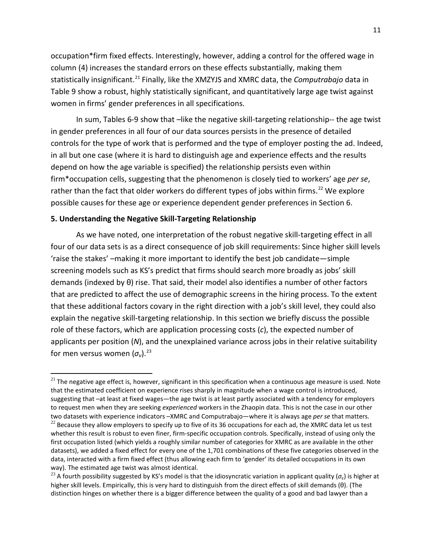occupation\*firm fixed effects. Interestingly, however, adding a control for the offered wage in column (4) increases the standard errors on these effects substantially, making them statistically insignificant. [21](#page-13-0) Finally, like the XMZYJS and XMRC data, the *Computrabajo* data in Table 9 show a robust, highly statistically significant, and quantitatively large age twist against women in firms' gender preferences in all specifications.

In sum, Tables 6-9 show that –like the negative skill-targeting relationship-- the age twist in gender preferences in all four of our data sources persists in the presence of detailed controls for the type of work that is performed and the type of employer posting the ad. Indeed, in all but one case (where it is hard to distinguish age and experience effects and the results depend on how the age variable is specified) the relationship persists even within firm\*occupation cells, suggesting that the phenomenon is closely tied to workers' age *per se*, rather than the fact that older workers do different types of jobs within firms.<sup>[22](#page-13-1)</sup> We explore possible causes for these age or experience dependent gender preferences in Section 6.

#### **5. Understanding the Negative Skill-Targeting Relationship**

 $\overline{a}$ 

As we have noted, one interpretation of the robust negative skill-targeting effect in all four of our data sets is as a direct consequence of job skill requirements: Since higher skill levels 'raise the stakes' –making it more important to identify the best job candidate—simple screening models such as KS's predict that firms should search more broadly as jobs' skill demands (indexed by θ) rise. That said, their model also identifies a number of other factors that are predicted to affect the use of demographic screens in the hiring process. To the extent that these additional factors covary in the right direction with a job's skill level, they could also explain the negative skill-targeting relationship. In this section we briefly discuss the possible role of these factors, which are application processing costs (*c*), the expected number of applicants per position (*N*), and the unexplained variance across jobs in their relative suitability for men versus women  $(\sigma_v)$ .<sup>[23](#page-13-2)</sup>

<span id="page-13-0"></span> $21$  The negative age effect is, however, significant in this specification when a continuous age measure is used. Note that the estimated coefficient on experience rises sharply in magnitude when a wage control is introduced, suggesting that –at least at fixed wages—the age twist is at least partly associated with a tendency for employers to request men when they are seeking *experienced* workers in the Zhaopin data. This is not the case in our other two datasets with experience indicators –XMRC and Computrabajo—where it is always age *per se* that matters.

<span id="page-13-1"></span> $^{22}$  Because they allow employers to specify up to five of its 36 occupations for each ad, the XMRC data let us test whether this result is robust to even finer, firm-specific occupation controls. Specifically, instead of using only the first occupation listed (which yields a roughly similar number of categories for XMRC as are available in the other datasets), we added a fixed effect for every one of the 1,701 combinations of these five categories observed in the data, interacted with a firm fixed effect (thus allowing each firm to 'gender' its detailed occupations in its own way). The estimated age twist was almost identical.

<span id="page-13-2"></span><sup>&</sup>lt;sup>23</sup> A fourth possibility suggested by KS's model is that the idiosyncratic variation in applicant quality ( $\sigma_e$ ) is higher at higher skill levels. Empirically, this is very hard to distinguish from the direct effects of skill demands (θ). (The distinction hinges on whether there is a bigger difference between the quality of a good and bad lawyer than a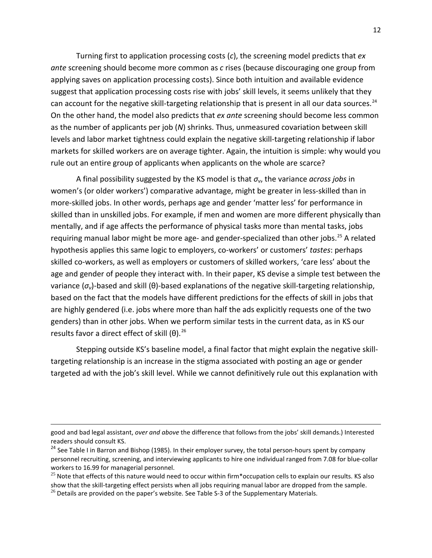Turning first to application processing costs (*c*), the screening model predicts that *ex ante* screening should become more common as *c* rises (because discouraging one group from applying saves on application processing costs). Since both intuition and available evidence suggest that application processing costs rise with jobs' skill levels, it seems unlikely that they can account for the negative skill-targeting relationship that is present in all our data sources.<sup>[24](#page-14-0)</sup> On the other hand, the model also predicts that *ex ante* screening should become less common as the number of applicants per job (*N*) shrinks. Thus, unmeasured covariation between skill levels and labor market tightness could explain the negative skill-targeting relationship if labor markets for skilled workers are on average tighter. Again, the intuition is simple: why would you rule out an entire group of applicants when applicants on the whole are scarce?

A final possibility suggested by the KS model is that *σν*, the variance *across jobs* in women's (or older workers') comparative advantage, might be greater in less-skilled than in more-skilled jobs. In other words, perhaps age and gender 'matter less' for performance in skilled than in unskilled jobs. For example, if men and women are more different physically than mentally, and if age affects the performance of physical tasks more than mental tasks, jobs requiring manual labor might be more age- and gender-specialized than other jobs.<sup>[25](#page-14-1)</sup> A related hypothesis applies this same logic to employers, co-workers' or customers' *tastes*: perhaps skilled co-workers, as well as employers or customers of skilled workers, 'care less' about the age and gender of people they interact with. In their paper, KS devise a simple test between the variance (*σν*)-based and skill (θ)-based explanations of the negative skill-targeting relationship, based on the fact that the models have different predictions for the effects of skill in jobs that are highly gendered (i.e. jobs where more than half the ads explicitly requests one of the two genders) than in other jobs. When we perform similar tests in the current data, as in KS our results favor a direct effect of skill  $(θ)$ .<sup>[26](#page-14-2)</sup>

Stepping outside KS's baseline model, a final factor that might explain the negative skilltargeting relationship is an increase in the stigma associated with posting an age or gender targeted ad with the job's skill level. While we cannot definitively rule out this explanation with

 $\overline{a}$ 

good and bad legal assistant, *over and above* the difference that follows from the jobs' skill demands.) Interested readers should consult KS.

<span id="page-14-0"></span><sup>&</sup>lt;sup>24</sup> See Table I in Barron and Bishop (1985). In their employer survey, the total person-hours spent by company personnel recruiting, screening, and interviewing applicants to hire one individual ranged from 7.08 for blue-collar workers to 16.99 for managerial personnel.

<span id="page-14-1"></span> $^{25}$  Note that effects of this nature would need to occur within firm\*occupation cells to explain our results. KS also show that the skill-targeting effect persists when all jobs requiring manual labor are dropped from the sample.

<span id="page-14-2"></span> $^{26}$  Details are provided on the paper's website. See Table S-3 of the Supplementary Materials.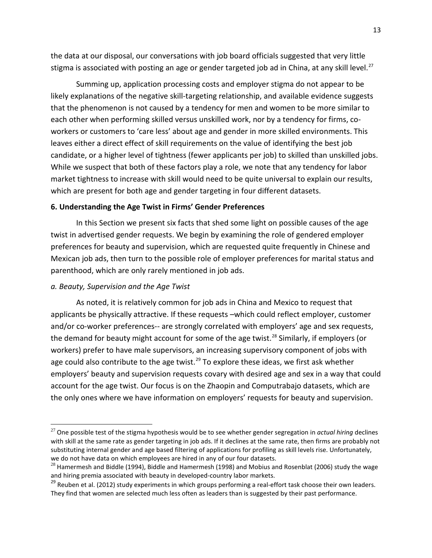the data at our disposal, our conversations with job board officials suggested that very little stigma is associated with posting an age or gender targeted job ad in China, at any skill level.<sup>27</sup>

Summing up, application processing costs and employer stigma do not appear to be likely explanations of the negative skill-targeting relationship, and available evidence suggests that the phenomenon is not caused by a tendency for men and women to be more similar to each other when performing skilled versus unskilled work, nor by a tendency for firms, coworkers or customers to 'care less' about age and gender in more skilled environments. This leaves either a direct effect of skill requirements on the value of identifying the best job candidate, or a higher level of tightness (fewer applicants per job) to skilled than unskilled jobs. While we suspect that both of these factors play a role, we note that any tendency for labor market tightness to increase with skill would need to be quite universal to explain our results, which are present for both age and gender targeting in four different datasets.

#### **6. Understanding the Age Twist in Firms' Gender Preferences**

In this Section we present six facts that shed some light on possible causes of the age twist in advertised gender requests. We begin by examining the role of gendered employer preferences for beauty and supervision, which are requested quite frequently in Chinese and Mexican job ads, then turn to the possible role of employer preferences for marital status and parenthood, which are only rarely mentioned in job ads.

#### *a. Beauty, Supervision and the Age Twist*

 $\overline{a}$ 

As noted, it is relatively common for job ads in China and Mexico to request that applicants be physically attractive. If these requests –which could reflect employer, customer and/or co-worker preferences-- are strongly correlated with employers' age and sex requests, the demand for beauty might account for some of the age twist.<sup>[28](#page-15-1)</sup> Similarly, if employers (or workers) prefer to have male supervisors, an increasing supervisory component of jobs with age could also contribute to the age twist.<sup>[29](#page-15-2)</sup> To explore these ideas, we first ask whether employers' beauty and supervision requests covary with desired age and sex in a way that could account for the age twist. Our focus is on the Zhaopin and Computrabajo datasets, which are the only ones where we have information on employers' requests for beauty and supervision.

<span id="page-15-0"></span><sup>27</sup> One possible test of the stigma hypothesis would be to see whether gender segregation in *actual hiring* declines with skill at the same rate as gender targeting in job ads. If it declines at the same rate, then firms are probably not substituting internal gender and age based filtering of applications for profiling as skill levels rise. Unfortunately, we do not have data on which employees are hired in any of our four datasets.

<span id="page-15-1"></span><sup>&</sup>lt;sup>28</sup> Hamermesh and Biddle (1994), Biddle and Hamermesh (1998) and Mobius and Rosenblat (2006) study the wage and hiring premia associated with beauty in developed-country labor markets.

<span id="page-15-2"></span><sup>&</sup>lt;sup>29</sup> Reuben et al. (2012) study experiments in which groups performing a real-effort task choose their own leaders. They find that women are selected much less often as leaders than is suggested by their past performance.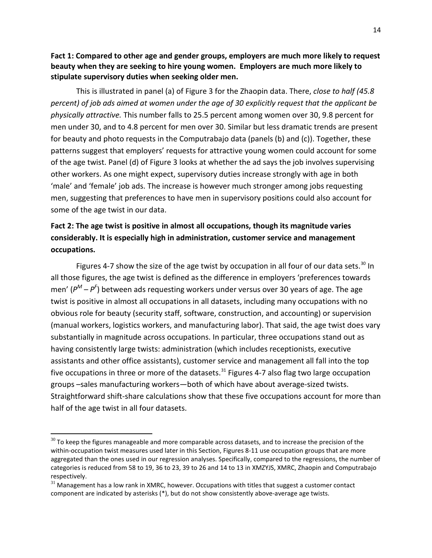**Fact 1: Compared to other age and gender groups, employers are much more likely to request beauty when they are seeking to hire young women. Employers are much more likely to stipulate supervisory duties when seeking older men.** 

This is illustrated in panel (a) of Figure 3 for the Zhaopin data. There, *close to half (45.8 percent) of job ads aimed at women under the age of 30 explicitly request that the applicant be physically attractive.* This number falls to 25.5 percent among women over 30, 9.8 percent for men under 30, and to 4.8 percent for men over 30. Similar but less dramatic trends are present for beauty and photo requests in the Computrabajo data (panels (b) and (c)). Together, these patterns suggest that employers' requests for attractive young women could account for some of the age twist. Panel (d) of Figure 3 looks at whether the ad says the job involves supervising other workers. As one might expect, supervisory duties increase strongly with age in both 'male' and 'female' job ads. The increase is however much stronger among jobs requesting men, suggesting that preferences to have men in supervisory positions could also account for some of the age twist in our data.

# **Fact 2: The age twist is positive in almost all occupations, though its magnitude varies considerably. It is especially high in administration, customer service and management occupations.**

Figures 4-7 show the size of the age twist by occupation in all four of our data sets.<sup>[30](#page-16-0)</sup> In all those figures, the age twist is defined as the difference in employers 'preferences towards men' (*P<sup>M</sup> – P<sup>F</sup>* ) between ads requesting workers under versus over 30 years of age. The age twist is positive in almost all occupations in all datasets, including many occupations with no obvious role for beauty (security staff, software, construction, and accounting) or supervision (manual workers, logistics workers, and manufacturing labor). That said, the age twist does vary substantially in magnitude across occupations. In particular, three occupations stand out as having consistently large twists: administration (which includes receptionists, executive assistants and other office assistants), customer service and management all fall into the top five occupations in three or more of the datasets. $31$  Figures 4-7 also flag two large occupation groups –sales manufacturing workers—both of which have about average-sized twists. Straightforward shift-share calculations show that these five occupations account for more than half of the age twist in all four datasets.

 $\overline{a}$ 

<span id="page-16-0"></span> $30$  To keep the figures manageable and more comparable across datasets, and to increase the precision of the within-occupation twist measures used later in this Section, Figures 8-11 use occupation groups that are more aggregated than the ones used in our regression analyses. Specifically, compared to the regressions, the number of categories is reduced from 58 to 19, 36 to 23, 39 to 26 and 14 to 13 in XMZYJS, XMRC, Zhaopin and Computrabajo respectively.

<span id="page-16-1"></span> $31$  Management has a low rank in XMRC, however. Occupations with titles that suggest a customer contact component are indicated by asterisks (\*), but do not show consistently above-average age twists.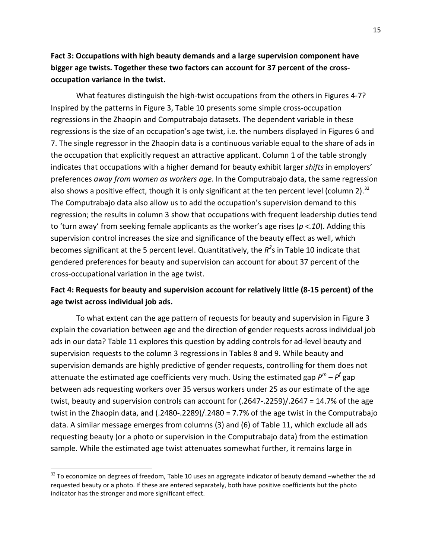### **Fact 3: Occupations with high beauty demands and a large supervision component have bigger age twists. Together these two factors can account for 37 percent of the crossoccupation variance in the twist.**

What features distinguish the high-twist occupations from the others in Figures 4-7? Inspired by the patterns in Figure 3, Table 10 presents some simple cross-occupation regressions in the Zhaopin and Computrabajo datasets. The dependent variable in these regressions is the size of an occupation's age twist, i.e. the numbers displayed in Figures 6 and 7. The single regressor in the Zhaopin data is a continuous variable equal to the share of ads in the occupation that explicitly request an attractive applicant. Column 1 of the table strongly indicates that occupations with a higher demand for beauty exhibit larger *shifts* in employers' preferences *away from women as workers age*. In the Computrabajo data, the same regression also shows a positive effect, though it is only significant at the ten percent level (column 2).<sup>[32](#page-17-0)</sup> The Computrabajo data also allow us to add the occupation's supervision demand to this regression; the results in column 3 show that occupations with frequent leadership duties tend to 'turn away' from seeking female applicants as the worker's age rises (*p <.10*). Adding this supervision control increases the size and significance of the beauty effect as well, which becomes significant at the 5 percent level. Quantitatively, the  $R^2$ s in Table 10 indicate that gendered preferences for beauty and supervision can account for about 37 percent of the cross-occupational variation in the age twist.

### **Fact 4: Requests for beauty and supervision account for relatively little (8-15 percent) of the age twist across individual job ads.**

To what extent can the age pattern of requests for beauty and supervision in Figure 3 explain the covariation between age and the direction of gender requests across individual job ads in our data? Table 11 explores this question by adding controls for ad-level beauty and supervision requests to the column 3 regressions in Tables 8 and 9. While beauty and supervision demands are highly predictive of gender requests, controlling for them does not attenuate the estimated age coefficients very much. Using the estimated gap *P<sup>m</sup> – P<sup>f</sup>* gap between ads requesting workers over 35 versus workers under 25 as our estimate of the age twist, beauty and supervision controls can account for (.2647-.2259)/.2647 = 14.7% of the age twist in the Zhaopin data, and (.2480-.2289)/.2480 = 7.7% of the age twist in the Computrabajo data. A similar message emerges from columns (3) and (6) of Table 11, which exclude all ads requesting beauty (or a photo or supervision in the Computrabajo data) from the estimation sample. While the estimated age twist attenuates somewhat further, it remains large in

l

<span id="page-17-0"></span> $32$  To economize on degrees of freedom, Table 10 uses an aggregate indicator of beauty demand –whether the ad requested beauty or a photo. If these are entered separately, both have positive coefficients but the photo indicator has the stronger and more significant effect.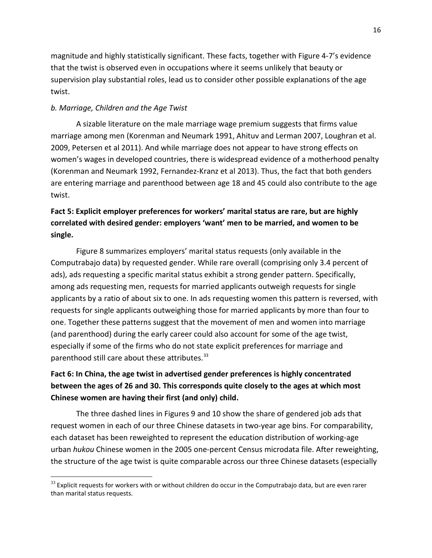magnitude and highly statistically significant. These facts, together with Figure 4-7's evidence that the twist is observed even in occupations where it seems unlikely that beauty or supervision play substantial roles, lead us to consider other possible explanations of the age twist.

#### *b. Marriage, Children and the Age Twist*

 $\overline{\phantom{a}}$ 

A sizable literature on the male marriage wage premium suggests that firms value marriage among men (Korenman and Neumark 1991, Ahituv and Lerman 2007, Loughran et al. 2009, Petersen et al 2011). And while marriage does not appear to have strong effects on women's wages in developed countries, there is widespread evidence of a motherhood penalty (Korenman and Neumark 1992, Fernandez-Kranz et al 2013). Thus, the fact that both genders are entering marriage and parenthood between age 18 and 45 could also contribute to the age twist.

# **Fact 5: Explicit employer preferences for workers' marital status are rare, but are highly correlated with desired gender: employers 'want' men to be married, and women to be single.**

Figure 8 summarizes employers' marital status requests (only available in the Computrabajo data) by requested gender. While rare overall (comprising only 3.4 percent of ads), ads requesting a specific marital status exhibit a strong gender pattern. Specifically, among ads requesting men, requests for married applicants outweigh requests for single applicants by a ratio of about six to one. In ads requesting women this pattern is reversed, with requests for single applicants outweighing those for married applicants by more than four to one. Together these patterns suggest that the movement of men and women into marriage (and parenthood) during the early career could also account for some of the age twist, especially if some of the firms who do not state explicit preferences for marriage and parenthood still care about these attributes.<sup>[33](#page-18-0)</sup>

# **Fact 6: In China, the age twist in advertised gender preferences is highly concentrated between the ages of 26 and 30. This corresponds quite closely to the ages at which most Chinese women are having their first (and only) child.**

The three dashed lines in Figures 9 and 10 show the share of gendered job ads that request women in each of our three Chinese datasets in two-year age bins. For comparability, each dataset has been reweighted to represent the education distribution of working-age urban *hukou* Chinese women in the 2005 one-percent Census microdata file. After reweighting, the structure of the age twist is quite comparable across our three Chinese datasets (especially

<span id="page-18-0"></span> $33$  Explicit requests for workers with or without children do occur in the Computrabajo data, but are even rarer than marital status requests.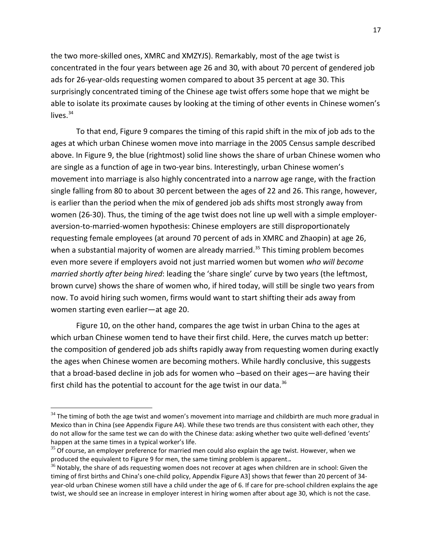the two more-skilled ones, XMRC and XMZYJS). Remarkably, most of the age twist is concentrated in the four years between age 26 and 30, with about 70 percent of gendered job ads for 26-year-olds requesting women compared to about 35 percent at age 30. This surprisingly concentrated timing of the Chinese age twist offers some hope that we might be able to isolate its proximate causes by looking at the timing of other events in Chinese women's lives. $34$ 

To that end, Figure 9 compares the timing of this rapid shift in the mix of job ads to the ages at which urban Chinese women move into marriage in the 2005 Census sample described above. In Figure 9, the blue (rightmost) solid line shows the share of urban Chinese women who are single as a function of age in two-year bins. Interestingly, urban Chinese women's movement into marriage is also highly concentrated into a narrow age range, with the fraction single falling from 80 to about 30 percent between the ages of 22 and 26. This range, however, is earlier than the period when the mix of gendered job ads shifts most strongly away from women (26-30). Thus, the timing of the age twist does not line up well with a simple employeraversion-to-married-women hypothesis: Chinese employers are still disproportionately requesting female employees (at around 70 percent of ads in XMRC and Zhaopin) at age 26, when a substantial majority of women are already married.<sup>[35](#page-19-1)</sup> This timing problem becomes even more severe if employers avoid not just married women but women *who will become married shortly after being hired*: leading the 'share single' curve by two years (the leftmost, brown curve) shows the share of women who, if hired today, will still be single two years from now. To avoid hiring such women, firms would want to start shifting their ads away from women starting even earlier—at age 20.

Figure 10, on the other hand, compares the age twist in urban China to the ages at which urban Chinese women tend to have their first child. Here, the curves match up better: the composition of gendered job ads shifts rapidly away from requesting women during exactly the ages when Chinese women are becoming mothers. While hardly conclusive, this suggests that a broad-based decline in job ads for women who –based on their ages—are having their first child has the potential to account for the age twist in our data.<sup>36</sup>

l

<span id="page-19-0"></span> $34$  The timing of both the age twist and women's movement into marriage and childbirth are much more gradual in Mexico than in China (see Appendix Figure A4). While these two trends are thus consistent with each other, they do not allow for the same test we can do with the Chinese data: asking whether two quite well-defined 'events' happen at the same times in a typical worker's life.

<span id="page-19-1"></span> $35$  Of course, an employer preference for married men could also explain the age twist. However, when we produced the equivalent to Figure 9 for men, the same timing problem is apparent.**.**

<span id="page-19-2"></span> $36$  Notably, the share of ads requesting women does not recover at ages when children are in school: Given the timing of first births and China's one-child policy, Appendix Figure A3] shows that fewer than 20 percent of 34 year-old urban Chinese women still have a child under the age of 6. If care for pre-school children explains the age twist, we should see an increase in employer interest in hiring women after about age 30, which is not the case.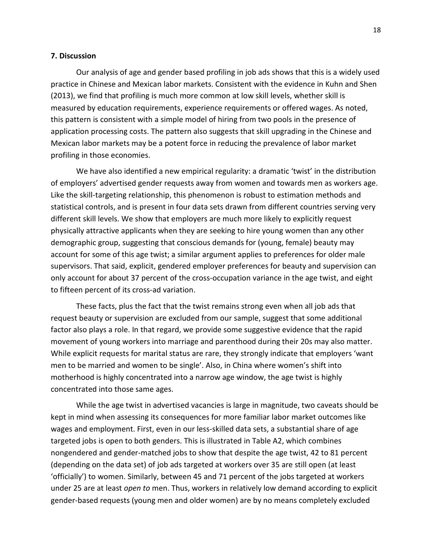#### **7. Discussion**

Our analysis of age and gender based profiling in job ads shows that this is a widely used practice in Chinese and Mexican labor markets. Consistent with the evidence in Kuhn and Shen (2013), we find that profiling is much more common at low skill levels, whether skill is measured by education requirements, experience requirements or offered wages. As noted, this pattern is consistent with a simple model of hiring from two pools in the presence of application processing costs. The pattern also suggests that skill upgrading in the Chinese and Mexican labor markets may be a potent force in reducing the prevalence of labor market profiling in those economies.

We have also identified a new empirical regularity: a dramatic 'twist' in the distribution of employers' advertised gender requests away from women and towards men as workers age. Like the skill-targeting relationship, this phenomenon is robust to estimation methods and statistical controls, and is present in four data sets drawn from different countries serving very different skill levels. We show that employers are much more likely to explicitly request physically attractive applicants when they are seeking to hire young women than any other demographic group, suggesting that conscious demands for (young, female) beauty may account for some of this age twist; a similar argument applies to preferences for older male supervisors. That said, explicit, gendered employer preferences for beauty and supervision can only account for about 37 percent of the cross-occupation variance in the age twist, and eight to fifteen percent of its cross-ad variation.

These facts, plus the fact that the twist remains strong even when all job ads that request beauty or supervision are excluded from our sample, suggest that some additional factor also plays a role. In that regard, we provide some suggestive evidence that the rapid movement of young workers into marriage and parenthood during their 20s may also matter. While explicit requests for marital status are rare, they strongly indicate that employers 'want men to be married and women to be single'. Also, in China where women's shift into motherhood is highly concentrated into a narrow age window, the age twist is highly concentrated into those same ages.

While the age twist in advertised vacancies is large in magnitude, two caveats should be kept in mind when assessing its consequences for more familiar labor market outcomes like wages and employment. First, even in our less-skilled data sets, a substantial share of age targeted jobs is open to both genders. This is illustrated in Table A2, which combines nongendered and gender-matched jobs to show that despite the age twist, 42 to 81 percent (depending on the data set) of job ads targeted at workers over 35 are still open (at least 'officially') to women. Similarly, between 45 and 71 percent of the jobs targeted at workers under 25 are at least *open to* men. Thus, workers in relatively low demand according to explicit gender-based requests (young men and older women) are by no means completely excluded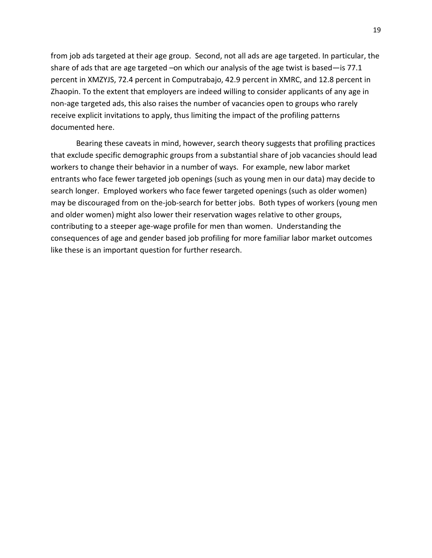from job ads targeted at their age group. Second, not all ads are age targeted. In particular, the share of ads that are age targeted –on which our analysis of the age twist is based—is 77.1 percent in XMZYJS, 72.4 percent in Computrabajo, 42.9 percent in XMRC, and 12.8 percent in Zhaopin. To the extent that employers are indeed willing to consider applicants of any age in non-age targeted ads, this also raises the number of vacancies open to groups who rarely receive explicit invitations to apply, thus limiting the impact of the profiling patterns documented here.

Bearing these caveats in mind, however, search theory suggests that profiling practices that exclude specific demographic groups from a substantial share of job vacancies should lead workers to change their behavior in a number of ways. For example, new labor market entrants who face fewer targeted job openings (such as young men in our data) may decide to search longer. Employed workers who face fewer targeted openings (such as older women) may be discouraged from on the-job-search for better jobs. Both types of workers (young men and older women) might also lower their reservation wages relative to other groups, contributing to a steeper age-wage profile for men than women. Understanding the consequences of age and gender based job profiling for more familiar labor market outcomes like these is an important question for further research.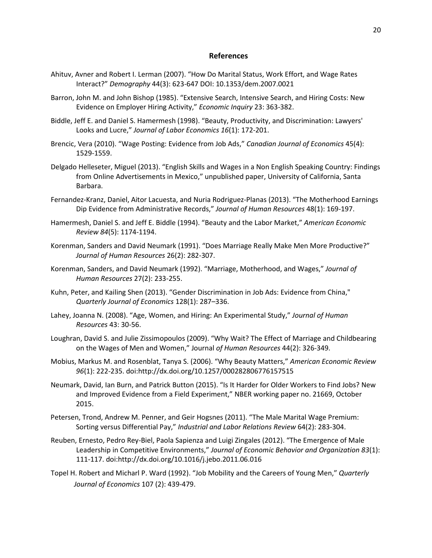#### **References**

- Ahituv, Avner and Robert I. Lerman (2007). "How Do Marital Status, Work Effort, and Wage Rates Interact?" *Demography* 44(3): 623-647 DOI: 10.1353/dem.2007.0021
- Barron, John M. and John Bishop (1985). "Extensive Search, Intensive Search, and Hiring Costs: New Evidence on Employer Hiring Activity," *Economic Inquiry* 23: 363-382.
- Biddle, Jeff E. and Daniel S. Hamermesh (1998). "Beauty, Productivity, and Discrimination: Lawyers' Looks and Lucre," *Journal of Labor Economics 16*(1): 172-201.
- Brencic, Vera (2010). "Wage Posting: Evidence from Job Ads," *Canadian Journal of Economics* 45(4): 1529-1559.
- Delgado Helleseter, Miguel (2013). "English Skills and Wages in a Non English Speaking Country: Findings from Online Advertisements in Mexico," unpublished paper, University of California, Santa Barbara.
- Fernandez-Kranz, Daniel, Aitor Lacuesta, and Nuria Rodriguez-Planas (2013). ["The Motherhood Earnings](http://apps.webofknowledge.com/full_record.do?product=UA&search_mode=MarkedList&qid=26&SID=1FldEuip63ThbyhuifR&page=1&doc=1&colName=WOS)  [Dip Evidence from Administrative Records,"](http://apps.webofknowledge.com/full_record.do?product=UA&search_mode=MarkedList&qid=26&SID=1FldEuip63ThbyhuifR&page=1&doc=1&colName=WOS) *Journal of Human Resources* 48(1): 169-197.
- Hamermesh, Daniel S. and Jeff E. Biddle (1994). "Beauty and the Labor Market," *American Economic Review 84*(5): 1174-1194.
- Korenman, Sanders and David Neumark (1991). "Does Marriage Really Make Men More Productive?" *Journal of Human Resources* 26(2): 282-307.
- Korenman, Sanders, and David Neumark (1992). "Marriage, Motherhood, and Wages," *Journal of Human Resources* 27(2): 233-255.
- Kuhn, Peter, and Kailing Shen (2013). "Gender Discrimination in Job Ads: Evidence from China," *Quarterly Journal of Economics* 128(1): 287–336.
- Lahey, Joanna N. (2008). "Age, Women, and Hiring: An Experimental Study," *Journal of Human Resources* 43: 30-56.
- Loughran, David S. and Julie Zissimopoulos (2009). "Why Wait? The Effect of Marriage and Childbearing on the Wages of Men and Women," Journal *of Human Resources* 44(2): 326-349.
- Mobius, Markus M. and Rosenblat, Tanya S. (2006). "Why Beauty Matters," *American Economic Review 96*(1): 222-235. doi:http://dx.doi.org/10.1257/000282806776157515
- Neumark, David, Ian Burn, and Patrick Button (2015). "Is It Harder for Older Workers to Find Jobs? New and Improved Evidence from a Field Experiment," NBER working paper no. 21669, October 2015.
- Petersen, Trond, Andrew M. Penner, and Geir Hogsnes (2011). "The Male Marital Wage Premium: Sorting versus Differential Pay," *Industrial and Labor Relations Review* 64(2): 283-304.
- Reuben, Ernesto, Pedro Rey-Biel, Paola Sapienza and Luigi Zingales (2012). "The Emergence of Male Leadership in Competitive Environments," *Journal of Economic Behavior and Organization 83*(1): 111-117. doi:http://dx.doi.org/10.1016/j.jebo.2011.06.016
- Topel H. Robert and Micharl P. Ward (1992). "Job Mobility and the Careers of Young Men," *Quarterly Journal of Economics* 107 (2): 439-479.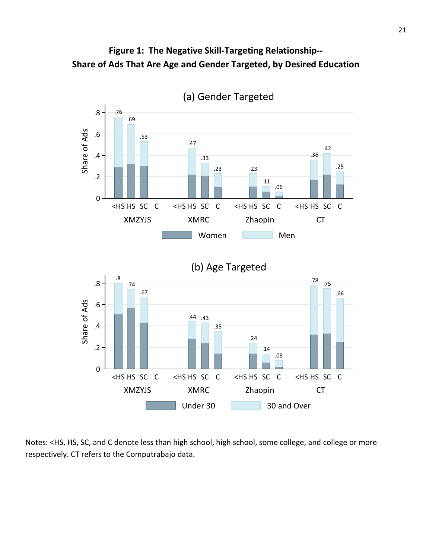



Notes: <HS, HS, SC, and C denote less than high school, high school, some college, and college or more respectively. CT refers to the Computrabajo data.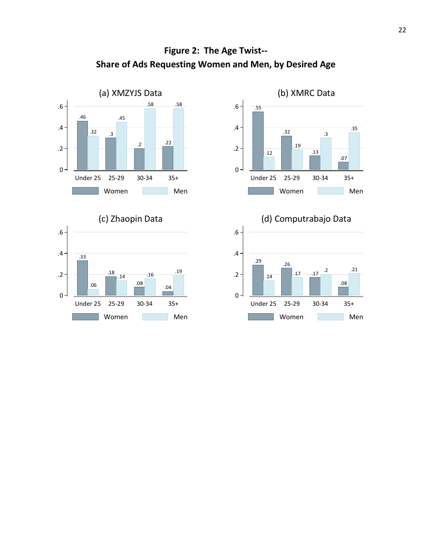

# **Figure 2: The Age Twist-- Share of Ads Requesting Women and Men, by Desired Age**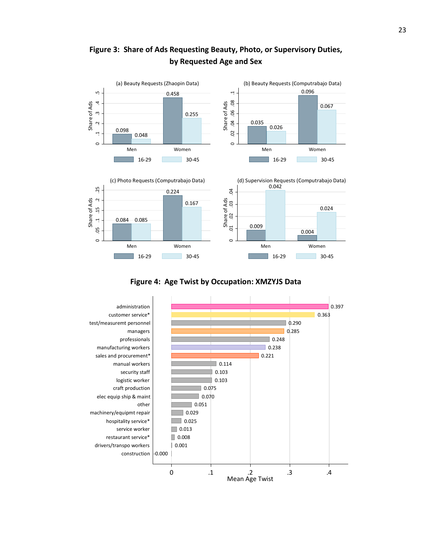

**Figure 3: Share of Ads Requesting Beauty, Photo, or Supervisory Duties, by Requested Age and Sex**

**Figure 4: Age Twist by Occupation: XMZYJS Data**

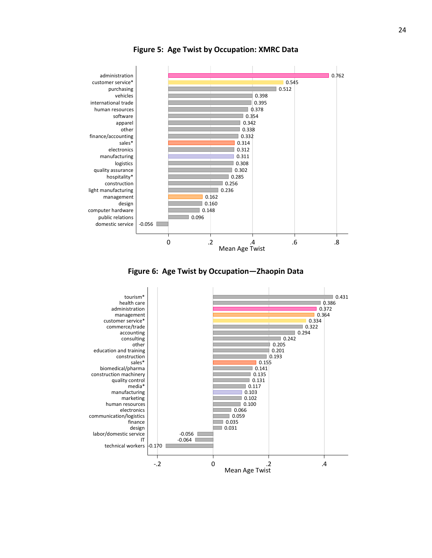

**Figure 5: Age Twist by Occupation: XMRC Data**



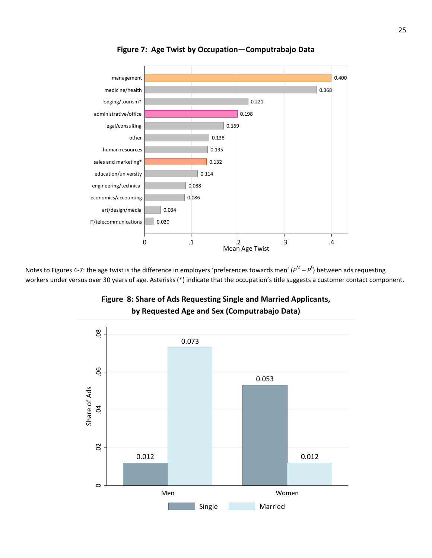

**Figure 7: Age Twist by Occupation—Computrabajo Data**

Notes to Figures 4-7: the age twist is the difference in employers 'preferences towards men' (*P<sup>M</sup> – P<sup>F</sup>* ) between ads requesting workers under versus over 30 years of age. Asterisks (\*) indicate that the occupation's title suggests a customer contact component.



**Figure 8: Share of Ads Requesting Single and Married Applicants, by Requested Age and Sex (Computrabajo Data)**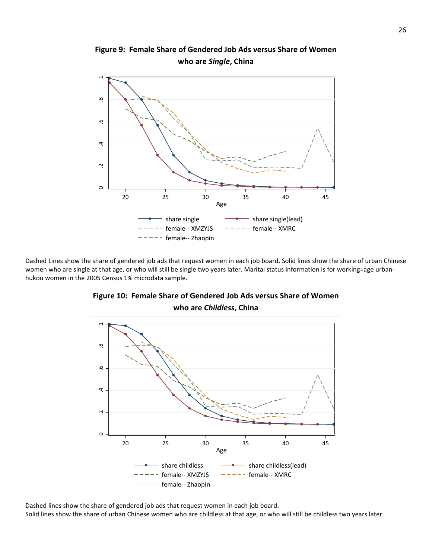

**Figure 9: Female Share of Gendered Job Ads versus Share of Women** 

Dashed Lines show the share of gendered job ads that request women in each job board. Solid lines show the share of urban Chinese women who are single at that age, or who will still be single two years later. Marital status information is for working=age urbanhukou women in the 2005 Census 1% microdata sample.



### **Figure 10: Female Share of Gendered Job Ads versus Share of Women who are** *Childless***, China**

Dashed lines show the share of gendered job ads that request women in each job board. Solid lines show the share of urban Chinese women who are childless at that age, or who will still be childless two years later.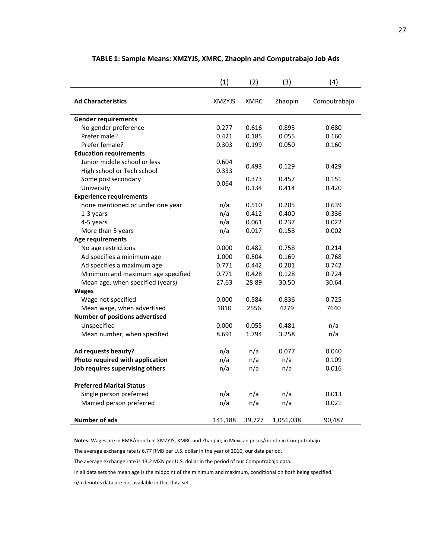|                                       | (1)           | (2)         | (3)       | (4)          |
|---------------------------------------|---------------|-------------|-----------|--------------|
| <b>Ad Characteristics</b>             | <b>XMZYJS</b> | <b>XMRC</b> | Zhaopin   | Computrabajo |
| <b>Gender requirements</b>            |               |             |           |              |
| No gender preference                  | 0.277         | 0.616       | 0.895     | 0.680        |
| Prefer male?                          | 0.421         | 0.185       | 0.055     | 0.160        |
| Prefer female?                        | 0.303         | 0.199       | 0.050     | 0.160        |
| <b>Education requirements</b>         |               |             |           |              |
| Junior middle school or less          | 0.604         | 0.493       | 0.129     | 0.429        |
| High school or Tech school            | 0.333         |             |           |              |
| Some postsecondary                    | 0.064         | 0.373       | 0.457     | 0.151        |
| University                            |               | 0.134       | 0.414     | 0.420        |
| <b>Experience requirements</b>        |               |             |           |              |
| none mentioned or under one year      | n/a           | 0.510       | 0.205     | 0.639        |
| 1-3 years                             | n/a           | 0.412       | 0.400     | 0.336        |
| 4-5 years                             | n/a           | 0.061       | 0.237     | 0.022        |
| More than 5 years                     | n/a           | 0.017       | 0.158     | 0.002        |
| Age requirements                      |               |             |           |              |
| No age restrictions                   | 0.000         | 0.482       | 0.758     | 0.214        |
| Ad specifies a minimum age            | 1.000         | 0.504       | 0.169     | 0.768        |
| Ad specifies a maximum age            | 0.771         | 0.442       | 0.201     | 0.742        |
| Minimum and maximum age specified     | 0.771         | 0.428       | 0.128     | 0.724        |
| Mean age, when specified (years)      | 27.63         | 28.89       | 30.50     | 30.64        |
| <b>Wages</b>                          |               |             |           |              |
| Wage not specified                    | 0.000         | 0.584       | 0.836     | 0.725        |
| Mean wage, when advertised            | 1810          | 2556        | 4279      | 7640         |
| <b>Number of positions advertised</b> |               |             |           |              |
| Unspecified                           | 0.000         | 0.055       | 0.481     | n/a          |
| Mean number, when specified           | 8.691         | 1.794       | 3.258     | n/a          |
| Ad requests beauty?                   | n/a           | n/a         | 0.077     | 0.040        |
| Photo required with application       | n/a           | n/a         | n/a       | 0.109        |
| Job requires supervising others       | n/a           | n/a         | n/a       | 0.016        |
| <b>Preferred Marital Status</b>       |               |             |           |              |
| Single person preferred               | n/a           | n/a         | n/a       | 0.013        |
| Married person preferred              | n/a           | n/a         | n/a       | 0.021        |
| <b>Number of ads</b>                  | 141,188       | 39,727      | 1,051,038 | 90,487       |

#### **TABLE 1: Sample Means: XMZYJS, XMRC, Zhaopin and Computrabajo Job Ads**

**Notes:** Wages are in RMB/month in XMZYJS, XMRC and Zhaopin; in Mexican pesos/month in Computrabajo.

The average exchange rate is 6.77 RMB per U.S. dollar in the year of 2010, our data period.

The average exchange rate is 13.2 MXN per U.S. dollar in the period of our Computrabajo data.

In all data sets the mean age is the midpoint of the minimum and maximum, conditional on both being specified.

n/a denotes data are not available in that data set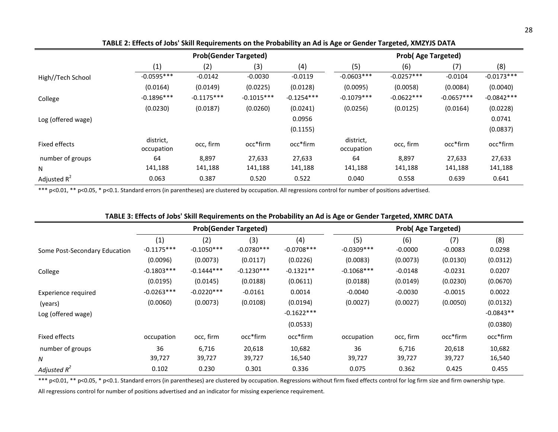|                    | <b>Prob(Gender Targeted)</b> |              |              |              | <b>Prob(Age Targeted)</b> |              |              |              |
|--------------------|------------------------------|--------------|--------------|--------------|---------------------------|--------------|--------------|--------------|
|                    | (1)                          | (2)          | (3)          | (4)          | (5)                       | (6)          | (7)          | (8)          |
| High//Tech School  | $-0.0595***$                 | $-0.0142$    | $-0.0030$    | $-0.0119$    | $-0.0603***$              | $-0.0257***$ | $-0.0104$    | $-0.0173***$ |
|                    | (0.0164)                     | (0.0149)     | (0.0225)     | (0.0128)     | (0.0095)                  | (0.0058)     | (0.0084)     | (0.0040)     |
| College            | $-0.1896***$                 | $-0.1175***$ | $-0.1015***$ | $-0.1254***$ | $-0.1079***$              | $-0.0622***$ | $-0.0657***$ | $-0.0842***$ |
|                    | (0.0230)                     | (0.0187)     | (0.0260)     | (0.0241)     | (0.0256)                  | (0.0125)     | (0.0164)     | (0.0228)     |
| Log (offered wage) |                              |              |              | 0.0956       |                           |              |              | 0.0741       |
|                    |                              |              |              | (0.1155)     |                           |              |              | (0.0837)     |
| Fixed effects      | district,                    | occ, firm    | occ*firm     | occ*firm     | district,                 | occ, firm    | occ*firm     | occ*firm     |
|                    | occupation                   |              |              |              | occupation                |              |              |              |
| number of groups   | 64                           | 8,897        | 27,633       | 27,633       | 64                        | 8,897        | 27,633       | 27,633       |
| N                  | 141,188                      | 141,188      | 141,188      | 141,188      | 141,188                   | 141,188      | 141,188      | 141,188      |
| Adjusted $R^2$     | 0.063                        | 0.387        | 0.520        | 0.522        | 0.040                     | 0.558        | 0.639        | 0.641        |

**TABLE 2: Effects of Jobs' Skill Requirements on the Probability an Ad is Age or Gender Targeted, XMZYJS DATA**

\*\*\* p<0.01, \*\* p<0.05, \* p<0.1. Standard errors (in parentheses) are clustered by occupation. All regressions control for number of positions advertised.

|                               |                     |                     | TABLE 3: Effects of Jobs' Skill Requirements on the Probability an Ad is Age or Gender Targeted, XMRC DATA |                     |                           |                  |                  |               |
|-------------------------------|---------------------|---------------------|------------------------------------------------------------------------------------------------------------|---------------------|---------------------------|------------------|------------------|---------------|
|                               |                     |                     | <b>Prob(Gender Targeted)</b>                                                                               |                     | <b>Prob(Age Targeted)</b> |                  |                  |               |
| Some Post-Secondary Education | (1)<br>$-0.1175***$ | (2)<br>$-0.1050***$ | (3)<br>$-0.0780***$                                                                                        | (4)<br>$-0.0708***$ | (5)<br>$-0.0309***$       | (6)<br>$-0.0000$ | (7)<br>$-0.0083$ | (8)<br>0.0298 |
|                               | (0.0096)            | (0.0073)            | (0.0117)                                                                                                   | (0.0226)            | (0.0083)                  | (0.0073)         | (0.0130)         | (0.0312)      |
| College                       | $-0.1803***$        | $-0.1444***$        | $-0.1230***$                                                                                               | $-0.1321**$         | $-0.1068$ ***             | $-0.0148$        | $-0.0231$        | 0.0207        |
|                               | (0.0195)            | (0.0145)            | (0.0188)                                                                                                   | (0.0611)            | (0.0188)                  | (0.0149)         | (0.0230)         | (0.0670)      |
| <b>Experience required</b>    | $-0.0263***$        | $-0.0220***$        | $-0.0161$                                                                                                  | 0.0014              | $-0.0040$                 | $-0.0030$        | $-0.0015$        | 0.0022        |
| (years)                       | (0.0060)            | (0.0073)            | (0.0108)                                                                                                   | (0.0194)            | (0.0027)                  | (0.0027)         | (0.0050)         | (0.0132)      |
| Log (offered wage)            |                     |                     |                                                                                                            | $-0.1622***$        |                           |                  |                  | $-0.0843**$   |
|                               |                     |                     |                                                                                                            | (0.0533)            |                           |                  |                  | (0.0380)      |
| Fixed effects                 | occupation          | occ, firm           | occ*firm                                                                                                   | occ*firm            | occupation                | occ, firm        | occ*firm         | occ*firm      |
| number of groups              | 36                  | 6,716               | 20,618                                                                                                     | 10,682              | 36                        | 6,716            | 20,618           | 10,682        |
| N                             | 39,727              | 39,727              | 39,727                                                                                                     | 16,540              | 39,727                    | 39,727           | 39,727           | 16,540        |
| Adjusted $R^2$                | 0.102               | 0.230               | 0.301                                                                                                      | 0.336               | 0.075                     | 0.362            | 0.425            | 0.455         |

#### **TABLE 3: Effects of Jobs' Skill Requirements on the Probability an Ad is Age or Gender Targeted, XMRC DATA**

\*\*\* p<0.01, \*\* p<0.05, \* p<0.1. Standard errors (in parentheses) are clustered by occupation. Regressions without firm fixed effects control for log firm size and firm ownership type.

All regressions control for number of positions advertised and an indicator for missing experience requirement.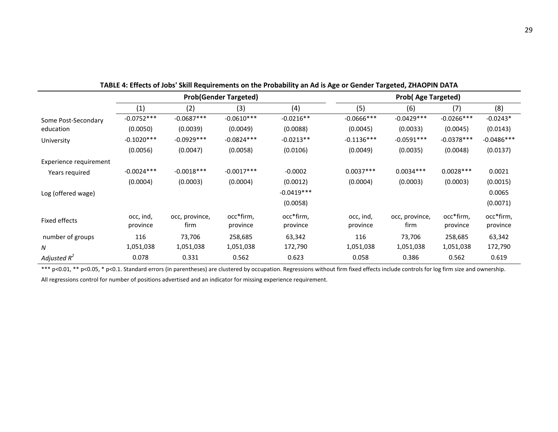|                        |                       |                        | <b>Prob(Gender Targeted)</b> |                       | <b>Prob(Age Targeted)</b> |                        |                       |                       |
|------------------------|-----------------------|------------------------|------------------------------|-----------------------|---------------------------|------------------------|-----------------------|-----------------------|
|                        | (1)                   | (2)                    | (3)                          | (4)                   | (5)                       | (6)                    | (7)                   | (8)                   |
| Some Post-Secondary    | $-0.0752***$          | $-0.0687***$           | $-0.0610***$                 | $-0.0216**$           | $-0.0666$ ***             | $-0.0429***$           | $-0.0266***$          | $-0.0243*$            |
| education              | (0.0050)              | (0.0039)               | (0.0049)                     | (0.0088)              | (0.0045)                  | (0.0033)               | (0.0045)              | (0.0143)              |
| University             | $-0.1020***$          | $-0.0929***$           | $-0.0824***$                 | $-0.0213**$           | $-0.1136***$              | $-0.0591***$           | $-0.0378***$          | $-0.0486***$          |
|                        | (0.0056)              | (0.0047)               | (0.0058)                     | (0.0106)              | (0.0049)                  | (0.0035)               | (0.0048)              | (0.0137)              |
| Experience requirement |                       |                        |                              |                       |                           |                        |                       |                       |
| Years required         | $-0.0024***$          | $-0.0018***$           | $-0.0017***$                 | $-0.0002$             | $0.0037***$               | $0.0034***$            | $0.0028***$           | 0.0021                |
|                        | (0.0004)              | (0.0003)               | (0.0004)                     | (0.0012)              | (0.0004)                  | (0.0003)               | (0.0003)              | (0.0015)              |
| Log (offered wage)     |                       |                        |                              | $-0.0419***$          |                           |                        |                       | 0.0065                |
|                        |                       |                        |                              | (0.0058)              |                           |                        |                       | (0.0071)              |
| Fixed effects          | occ, ind,<br>province | occ, province,<br>firm | occ*firm,<br>province        | occ*firm,<br>province | occ, ind,<br>province     | occ, province,<br>firm | occ*firm,<br>province | occ*firm,<br>province |
| number of groups       | 116                   | 73,706                 | 258,685                      | 63,342                | 116                       | 73,706                 | 258,685               | 63,342                |
| N                      | 1,051,038             | 1,051,038              | 1,051,038                    | 172,790               | 1,051,038                 | 1,051,038              | 1,051,038             | 172,790               |
| Adjusted $R^2$         | 0.078                 | 0.331                  | 0.562                        | 0.623                 | 0.058                     | 0.386                  | 0.562                 | 0.619                 |

**TABLE 4: Effects of Jobs' Skill Requirements on the Probability an Ad is Age or Gender Targeted, ZHAOPIN DATA**

\*\*\* p<0.01, \*\* p<0.05, \* p<0.1. Standard errors (in parentheses) are clustered by occupation. Regressions without firm fixed effects include controls for log firm size and ownership.

All regressions control for number of positions advertised and an indicator for missing experience requirement.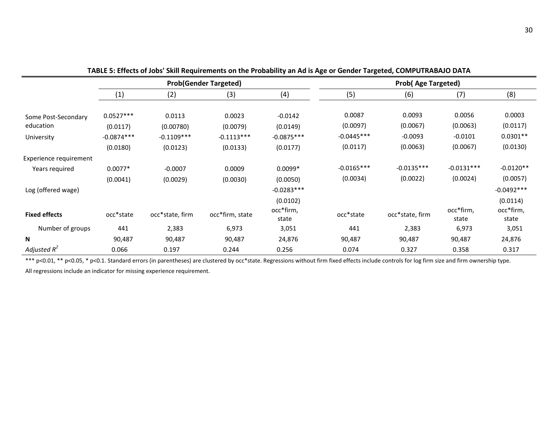|                        |                   | <b>Prob(Gender Targeted)</b> |                 |                    |              | <b>Prob(Age Targeted)</b> |                    |                    |  |  |
|------------------------|-------------------|------------------------------|-----------------|--------------------|--------------|---------------------------|--------------------|--------------------|--|--|
|                        | $\left( 1\right)$ | (2)                          | (3)             | (4)                | (5)          | (6)                       | (7)                | (8)                |  |  |
|                        |                   |                              |                 |                    |              |                           |                    |                    |  |  |
| Some Post-Secondary    | $0.0527***$       | 0.0113                       | 0.0023          | $-0.0142$          | 0.0087       | 0.0093                    | 0.0056             | 0.0003             |  |  |
| education              | (0.0117)          | (0.00780)                    | (0.0079)        | (0.0149)           | (0.0097)     | (0.0067)                  | (0.0063)           | (0.0117)           |  |  |
| University             | $-0.0874***$      | $-0.1109***$                 | $-0.1113***$    | $-0.0875***$       | $-0.0445***$ | $-0.0093$                 | $-0.0101$          | $0.0301**$         |  |  |
|                        | (0.0180)          | (0.0123)                     | (0.0133)        | (0.0177)           | (0.0117)     | (0.0063)                  | (0.0067)           | (0.0130)           |  |  |
| Experience requirement |                   |                              |                 |                    |              |                           |                    |                    |  |  |
| Years required         | $0.0077*$         | $-0.0007$                    | 0.0009          | $0.0099*$          | $-0.0165***$ | $-0.0135***$              | $-0.0131***$       | $-0.0120**$        |  |  |
|                        | (0.0041)          | (0.0029)                     | (0.0030)        | (0.0050)           | (0.0034)     | (0.0022)                  | (0.0024)           | (0.0057)           |  |  |
| Log (offered wage)     |                   |                              |                 | $-0.0283***$       |              |                           |                    | $-0.0492***$       |  |  |
|                        |                   |                              |                 | (0.0102)           |              |                           |                    | (0.0114)           |  |  |
| <b>Fixed effects</b>   | occ*state         | occ*state, firm              | occ*firm, state | occ*firm,<br>state | occ*state    | occ*state, firm           | occ*firm,<br>state | occ*firm,<br>state |  |  |
| Number of groups       | 441               | 2,383                        | 6,973           | 3,051              | 441          | 2,383                     | 6,973              | 3,051              |  |  |
| N                      | 90,487            | 90,487                       | 90,487          | 24,876             | 90,487       | 90,487                    | 90,487             | 24,876             |  |  |
| Adjusted $R^2$         | 0.066             | 0.197                        | 0.244           | 0.256              | 0.074        | 0.327                     | 0.358              | 0.317              |  |  |

**TABLE 5: Effects of Jobs' Skill Requirements on the Probability an Ad is Age or Gender Targeted, COMPUTRABAJO DATA**

\*\*\* p<0.01, \*\* p<0.05, \* p<0.1. Standard errors (in parentheses) are clustered by occ\*state. Regressions without firm fixed effects include controls for log firm size and firm ownership type.

All regressions include an indicator for missing experience requirement.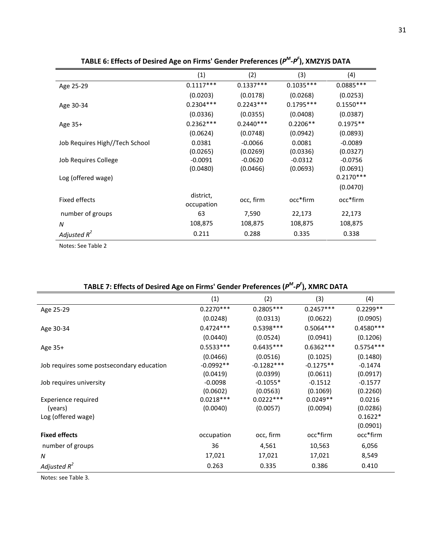|                                | (1)                     | (2)         | (3)         | (4)         |
|--------------------------------|-------------------------|-------------|-------------|-------------|
| Age 25-29                      | $0.1117***$             | $0.1337***$ | $0.1035***$ | 0.0885 ***  |
|                                | (0.0203)                | (0.0178)    | (0.0268)    | (0.0253)    |
| Age 30-34                      | $0.2304***$             | $0.2243***$ | $0.1795***$ | $0.1550***$ |
|                                | (0.0336)                | (0.0355)    | (0.0408)    | (0.0387)    |
| Age $35+$                      | $0.2362***$             | $0.2440***$ | $0.2206**$  | $0.1975**$  |
|                                | (0.0624)                | (0.0748)    | (0.0942)    | (0.0893)    |
| Job Requires High//Tech School | 0.0381                  | $-0.0066$   | 0.0081      | $-0.0089$   |
|                                | (0.0265)                | (0.0269)    | (0.0336)    | (0.0327)    |
| Job Requires College           | $-0.0091$               | $-0.0620$   | $-0.0312$   | $-0.0756$   |
|                                | (0.0480)                | (0.0466)    | (0.0693)    | (0.0691)    |
| Log (offered wage)             |                         |             |             | $0.2170***$ |
|                                |                         |             |             | (0.0470)    |
| Fixed effects                  | district,<br>occupation | occ, firm   | occ*firm    | occ*firm    |
| number of groups               | 63                      | 7,590       | 22,173      | 22,173      |
| N                              | 108,875                 | 108,875     | 108,875     | 108,875     |
| Adjusted $R^2$                 | 0.211                   | 0.288       | 0.335       | 0.338       |

**TABLE 6: Effects of Desired Age on Firms' Gender Preferences (***PM-PF* **), XMZYJS DATA**

Notes: See Table 2

| THE TERM of Desired Age on thing Senach Field chees $\mu$ . The avoid DATA |             |              |             |             |
|----------------------------------------------------------------------------|-------------|--------------|-------------|-------------|
|                                                                            | (1)         | (2)          | (3)         | (4)         |
| Age 25-29                                                                  | $0.2270***$ | $0.2805***$  | $0.2457***$ | $0.2299**$  |
|                                                                            | (0.0248)    | (0.0313)     | (0.0622)    | (0.0905)    |
| Age 30-34                                                                  | $0.4724***$ | $0.5398***$  | $0.5064***$ | $0.4580***$ |
|                                                                            | (0.0440)    | (0.0524)     | (0.0941)    | (0.1206)    |
| Age 35+                                                                    | $0.5533***$ | $0.6435***$  | $0.6362***$ | $0.5754***$ |
|                                                                            | (0.0466)    | (0.0516)     | (0.1025)    | (0.1480)    |
| Job requires some postsecondary education                                  | $-0.0992**$ | $-0.1282***$ | $-0.1275**$ | $-0.1474$   |
|                                                                            | (0.0419)    | (0.0399)     | (0.0611)    | (0.0917)    |
| Job requires university                                                    | $-0.0098$   | $-0.1055*$   | $-0.1512$   | $-0.1577$   |
|                                                                            | (0.0602)    | (0.0563)     | (0.1069)    | (0.2260)    |
| Experience required                                                        | $0.0218***$ | $0.0222***$  | $0.0249**$  | 0.0216      |
| (years)                                                                    | (0.0040)    | (0.0057)     | (0.0094)    | (0.0286)    |
| Log (offered wage)                                                         |             |              |             | $0.1622*$   |
|                                                                            |             |              |             | (0.0901)    |
| <b>Fixed effects</b>                                                       | occupation  | occ, firm    | occ*firm    | occ*firm    |
| number of groups                                                           | 36          | 4,561        | 10,563      | 6,056       |
| N                                                                          | 17,021      | 17,021       | 17,021      | 8,549       |
| Adjusted $R^2$                                                             | 0.263       | 0.335        | 0.386       | 0.410       |

#### **TABLE 7: Effects of Desired Age on Firms' Gender Preferences (***PM-PF* **), XMRC DATA**

Notes: see Table 3.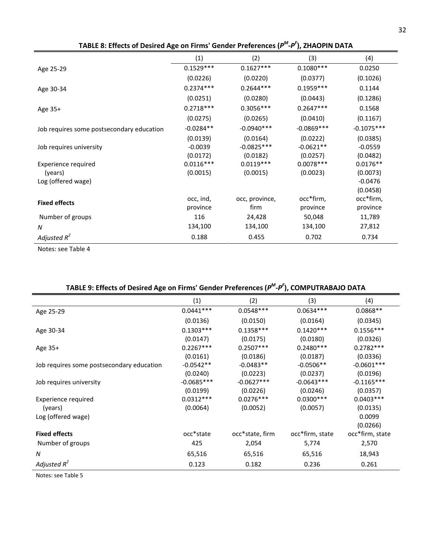| Encels of Desired rige on minist dender inclendies (r |             |                |              |              |
|-------------------------------------------------------|-------------|----------------|--------------|--------------|
|                                                       | (1)         | (2)            | (3)          | (4)          |
| Age 25-29                                             | $0.1529***$ | $0.1627***$    | $0.1080***$  | 0.0250       |
|                                                       | (0.0226)    | (0.0220)       | (0.0377)     | (0.1026)     |
| Age 30-34                                             | $0.2374***$ | $0.2644***$    | $0.1959***$  | 0.1144       |
|                                                       | (0.0251)    | (0.0280)       | (0.0443)     | (0.1286)     |
| Age 35+                                               | $0.2718***$ | $0.3056***$    | $0.2647***$  | 0.1568       |
|                                                       | (0.0275)    | (0.0265)       | (0.0410)     | (0.1167)     |
| Job requires some postsecondary education             | $-0.0284**$ | $-0.0940***$   | $-0.0869***$ | $-0.1075***$ |
|                                                       | (0.0139)    | (0.0164)       | (0.0222)     | (0.0385)     |
| Job requires university                               | $-0.0039$   | $-0.0825***$   | $-0.0621**$  | $-0.0559$    |
|                                                       | (0.0172)    | (0.0182)       | (0.0257)     | (0.0482)     |
| Experience required                                   | $0.0116***$ | $0.0119***$    | $0.0078***$  | $0.0176**$   |
| (years)                                               | (0.0015)    | (0.0015)       | (0.0023)     | (0.0073)     |
| Log (offered wage)                                    |             |                |              | $-0.0476$    |
|                                                       |             |                |              | (0.0458)     |
|                                                       | occ, ind,   | occ, province, | occ*firm,    | occ*firm,    |
| <b>Fixed effects</b>                                  | province    | firm           | province     | province     |
| Number of groups                                      | 116         | 24,428         | 50,048       | 11,789       |
| N                                                     | 134,100     | 134,100        | 134,100      | 27,812       |
| Adjusted $R^2$                                        | 0.188       | 0.455          | 0.702        | 0.734        |

**TABLE 8: Effects of Desired Age on Firms' Gender Preferences (***PM-PF* **), ZHAOPIN DATA**

Notes: see Table 4

| TABLE 9: Effects of Desired Age on Firms' Gender Preferences $(P^M \tcdot P^T)$ , COMPUTRABAJO DATA |              |                 |                 |                 |
|-----------------------------------------------------------------------------------------------------|--------------|-----------------|-----------------|-----------------|
|                                                                                                     | (1)          | (2)             | (3)             | (4)             |
| Age 25-29                                                                                           | $0.0441***$  | $0.0548***$     | $0.0634***$     | $0.0868**$      |
|                                                                                                     | (0.0136)     | (0.0150)        | (0.0164)        | (0.0345)        |
| Age 30-34                                                                                           | $0.1303***$  | $0.1358***$     | $0.1420***$     | $0.1556***$     |
|                                                                                                     | (0.0147)     | (0.0175)        | (0.0180)        | (0.0326)        |
| Age 35+                                                                                             | $0.2267***$  | $0.2507***$     | $0.2480***$     | $0.2782***$     |
|                                                                                                     | (0.0161)     | (0.0186)        | (0.0187)        | (0.0336)        |
| Job requires some postsecondary education                                                           | $-0.0542**$  | $-0.0483**$     | $-0.0506**$     | $-0.0601***$    |
|                                                                                                     | (0.0240)     | (0.0223)        | (0.0237)        | (0.0196)        |
| Job requires university                                                                             | $-0.0685***$ | $-0.0627***$    | $-0.0643***$    | $-0.1165***$    |
|                                                                                                     | (0.0199)     | (0.0226)        | (0.0246)        | (0.0357)        |
| Experience required                                                                                 | $0.0312***$  | $0.0276***$     | $0.0300***$     | $0.0403***$     |
| (years)                                                                                             | (0.0064)     | (0.0052)        | (0.0057)        | (0.0135)        |
| Log (offered wage)                                                                                  |              |                 |                 | 0.0099          |
|                                                                                                     |              |                 |                 | (0.0266)        |
| <b>Fixed effects</b>                                                                                | occ*state    | occ*state, firm | occ*firm, state | occ*firm, state |
| Number of groups                                                                                    | 425          | 2,054           | 5,774           | 2,570           |
| N                                                                                                   | 65,516       | 65,516          | 65,516          | 18,943          |
| Adjusted $R^2$                                                                                      | 0.123        | 0.182           | 0.236           | 0.261           |

### **TABLE 9: Effects of Desired Age on Firms' Gender Preferences (***PM-PF*

Notes: see Table 5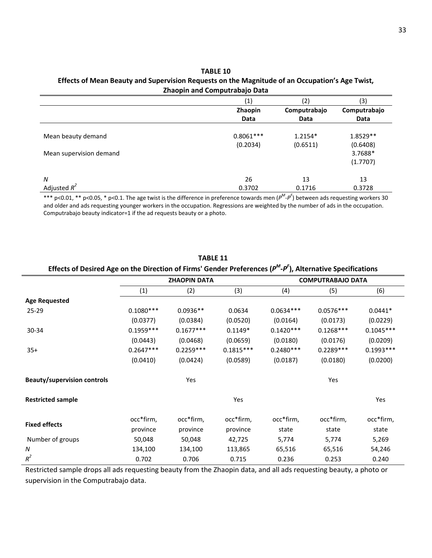#### **TABLE 10 Effects of Mean Beauty and Supervision Requests on the Magnitude of an Occupation's Age Twist, Zhaopin and Computrabajo Data**

|                         | (1)         | (2)          | (3)          |
|-------------------------|-------------|--------------|--------------|
|                         | Zhaopin     | Computrabajo | Computrabajo |
|                         | Data        | Data         | Data         |
| Mean beauty demand      | $0.8061***$ | $1.2154*$    | 1.8529**     |
|                         | (0.2034)    | (0.6511)     | (0.6408)     |
| Mean supervision demand |             |              | 3.7688*      |
|                         |             |              | (1.7707)     |
| N                       | 26          | 13           | 13           |
| Adjusted $R^2$          | 0.3702      | 0.1716       | 0.3728       |

\*\*\* p<0.01, \*\* p<0.05, \* p<0.1. The age twist is the difference in preference towards men (*PM-PF* ) between ads requesting workers 30 and older and ads requesting younger workers in the occupation. Regressions are weighted by the number of ads in the occupation. Computrabajo beauty indicator=1 if the ad requests beauty or a photo.

| Effects of Desired Age on the Direction of Firms' Genuel Preferences (P -P), Alternative Specifications |             |                     |             |                          |             |             |  |
|---------------------------------------------------------------------------------------------------------|-------------|---------------------|-------------|--------------------------|-------------|-------------|--|
|                                                                                                         |             | <b>ZHAOPIN DATA</b> |             | <b>COMPUTRABAJO DATA</b> |             |             |  |
|                                                                                                         | (1)         | (2)                 | (3)         | (4)                      | (5)         | (6)         |  |
| <b>Age Requested</b>                                                                                    |             |                     |             |                          |             |             |  |
| $25 - 29$                                                                                               | $0.1080***$ | $0.0936**$          | 0.0634      | $0.0634***$              | $0.0576***$ | $0.0441*$   |  |
|                                                                                                         | (0.0377)    | (0.0384)            | (0.0520)    | (0.0164)                 | (0.0173)    | (0.0229)    |  |
| 30-34                                                                                                   | $0.1959***$ | $0.1677***$         | $0.1149*$   | $0.1420***$              | $0.1268***$ | $0.1045***$ |  |
|                                                                                                         | (0.0443)    | (0.0468)            | (0.0659)    | (0.0180)                 | (0.0176)    | (0.0209)    |  |
| $35+$                                                                                                   | $0.2647***$ | $0.2259***$         | $0.1815***$ | $0.2480***$              | $0.2289***$ | $0.1993***$ |  |
|                                                                                                         | (0.0410)    | (0.0424)            | (0.0589)    | (0.0187)                 | (0.0180)    | (0.0200)    |  |
| <b>Beauty/supervision controls</b>                                                                      |             | Yes                 |             |                          | Yes         |             |  |
| <b>Restricted sample</b>                                                                                |             |                     | Yes         |                          |             | Yes         |  |
| <b>Fixed effects</b>                                                                                    | occ*firm,   | occ*firm,           | occ*firm,   | occ*firm,                | occ*firm,   | occ*firm,   |  |
|                                                                                                         | province    | province            | province    | state                    | state       | state       |  |
| Number of groups                                                                                        | 50,048      | 50,048              | 42,725      | 5,774                    | 5,774       | 5,269       |  |
| N                                                                                                       | 134,100     | 134,100             | 113,865     | 65,516                   | 65,516      | 54,246      |  |
| $R^2$                                                                                                   | 0.702       | 0.706               | 0.715       | 0.236                    | 0.253       | 0.240       |  |

### **TABLE 11 Effects of Desired Age on the Direction of Firms' Gender Preferences (***PM-PF* **), Alternative Specifications**

Restricted sample drops all ads requesting beauty from the Zhaopin data, and all ads requesting beauty, a photo or supervision in the Computrabajo data.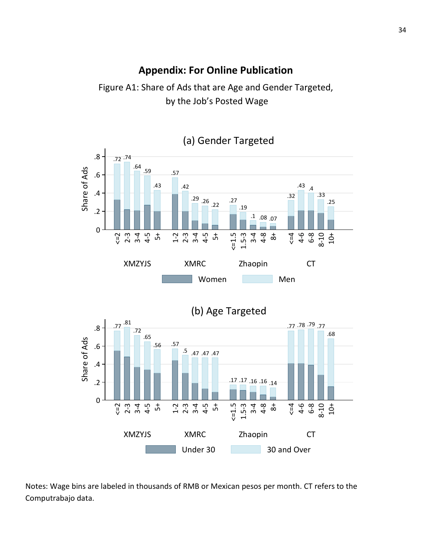# **Appendix: For Online Publication**

Figure A1: Share of Ads that are Age and Gender Targeted, by the Job's Posted Wage



Notes: Wage bins are labeled in thousands of RMB or Mexican pesos per month. CT refers to the Computrabajo data.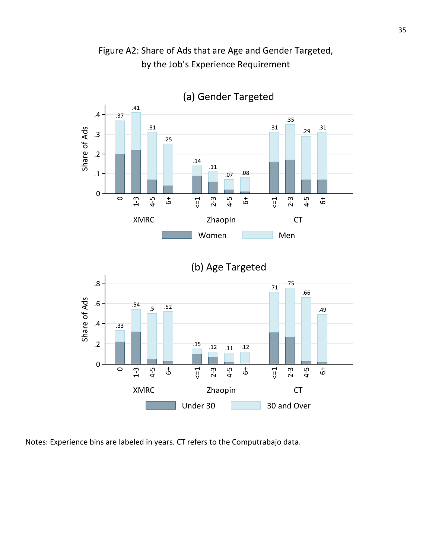

Figure A2: Share of Ads that are Age and Gender Targeted, by the Job's Experience Requirement



Notes: Experience bins are labeled in years. CT refers to the Computrabajo data.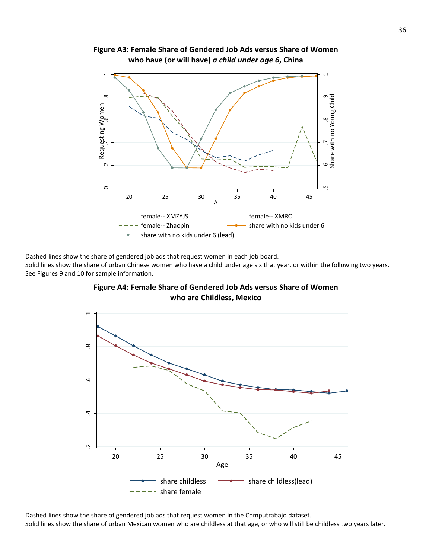

**Figure A3: Female Share of Gendered Job Ads versus Share of Women who have (or will have)** *a child under age 6***, China**

Dashed lines show the share of gendered job ads that request women in each job board. Solid lines show the share of urban Chinese women who have a child under age six that year, or within the following two years. See Figures 9 and 10 for sample information.





Dashed lines show the share of gendered job ads that request women in the Computrabajo dataset.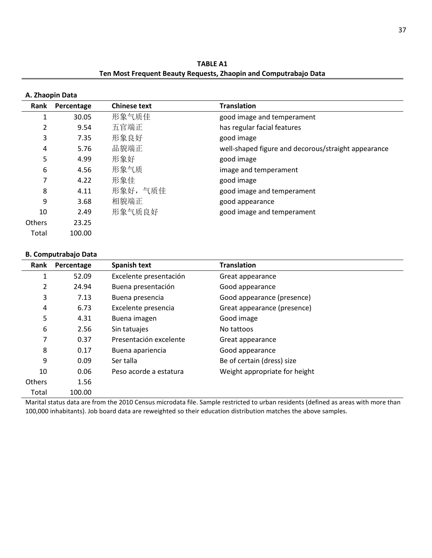**TABLE A1 Ten Most Frequent Beauty Requests, Zhaopin and Computrabajo Data**

|               | A. Zhaopin Data |                     |                                                     |
|---------------|-----------------|---------------------|-----------------------------------------------------|
| Rank          | Percentage      | <b>Chinese text</b> | <b>Translation</b>                                  |
| 1             | 30.05           | 形象气质佳               | good image and temperament                          |
| 2             | 9.54            | 五官端正                | has regular facial features                         |
| 3             | 7.35            | 形象良好                | good image                                          |
| 4             | 5.76            | 品貌端正                | well-shaped figure and decorous/straight appearance |
| 5             | 4.99            | 形象好                 | good image                                          |
| 6             | 4.56            | 形象气质                | image and temperament                               |
| 7             | 4.22            | 形象佳                 | good image                                          |
| 8             | 4.11            | 形象好,气质佳             | good image and temperament                          |
| 9             | 3.68            | 相貌端正                | good appearance                                     |
| 10            | 2.49            | 形象气质良好              | good image and temperament                          |
| <b>Others</b> | 23.25           |                     |                                                     |
| Total         | 100.00          |                     |                                                     |

#### **B. Computrabajo Data**

| Rank          | Percentage | <b>Spanish text</b>    | <b>Translation</b>            |
|---------------|------------|------------------------|-------------------------------|
| 1             | 52.09      | Excelente presentación | Great appearance              |
| 2             | 24.94      | Buena presentación     | Good appearance               |
| 3             | 7.13       | Buena presencia        | Good appearance (presence)    |
| 4             | 6.73       | Excelente presencia    | Great appearance (presence)   |
| 5             | 4.31       | Buena imagen           | Good image                    |
| 6             | 2.56       | Sin tatuajes           | No tattoos                    |
| 7             | 0.37       | Presentación excelente | Great appearance              |
| 8             | 0.17       | Buena apariencia       | Good appearance               |
| 9             | 0.09       | Ser talla              | Be of certain (dress) size    |
| 10            | 0.06       | Peso acorde a estatura | Weight appropriate for height |
| <b>Others</b> | 1.56       |                        |                               |
| Total         | 100.00     |                        |                               |

Marital status data are from the 2010 Census microdata file. Sample restricted to urban residents (defined as areas with more than 100,000 inhabitants). Job board data are reweighted so their education distribution matches the above samples.